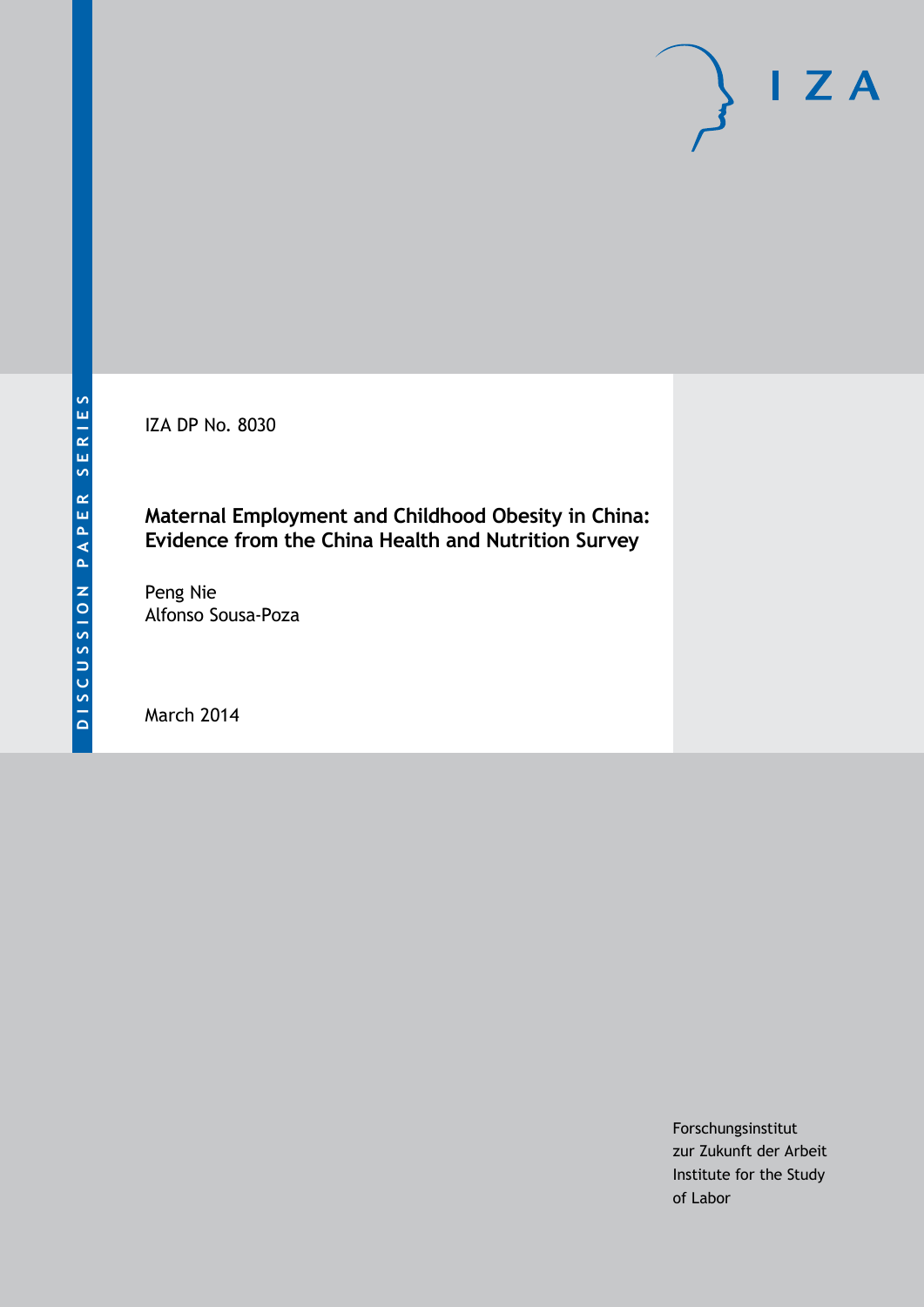IZA DP No. 8030

## **Maternal Employment and Childhood Obesity in China: Evidence from the China Health and Nutrition Survey**

Peng Nie Alfonso Sousa-Poza

March 2014

Forschungsinstitut zur Zukunft der Arbeit Institute for the Study of Labor

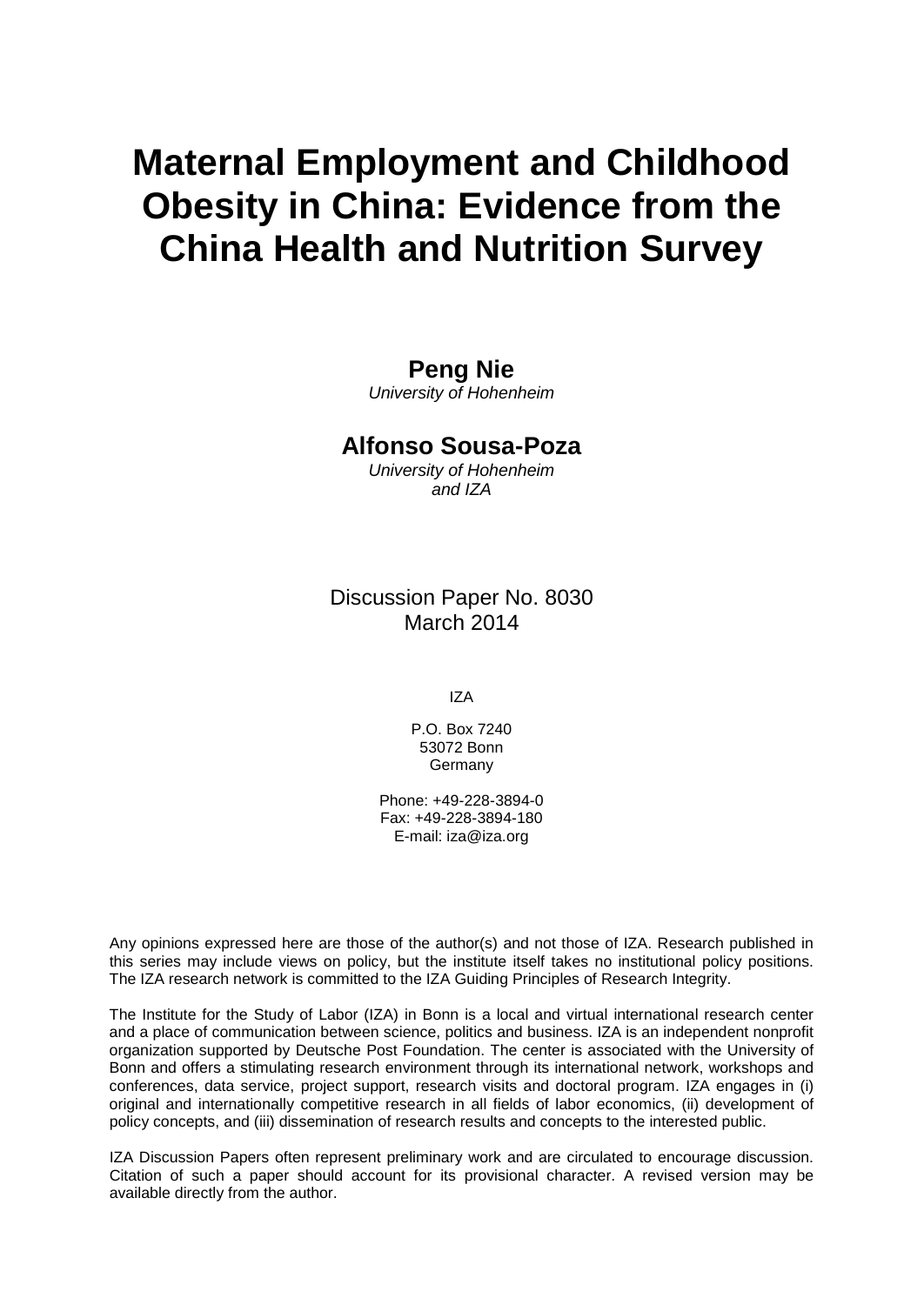# **Maternal Employment and Childhood Obesity in China: Evidence from the China Health and Nutrition Survey**

### **Peng Nie**

*University of Hohenheim*

### **Alfonso Sousa-Poza**

*University of Hohenheim and IZA*

Discussion Paper No. 8030 March 2014

IZA

P.O. Box 7240 53072 Bonn Germany

Phone: +49-228-3894-0 Fax: +49-228-3894-180 E-mail: [iza@iza.org](mailto:iza@iza.org)

Any opinions expressed here are those of the author(s) and not those of IZA. Research published in this series may include views on policy, but the institute itself takes no institutional policy positions. The IZA research network is committed to the IZA Guiding Principles of Research Integrity.

The Institute for the Study of Labor (IZA) in Bonn is a local and virtual international research center and a place of communication between science, politics and business. IZA is an independent nonprofit organization supported by Deutsche Post Foundation. The center is associated with the University of Bonn and offers a stimulating research environment through its international network, workshops and conferences, data service, project support, research visits and doctoral program. IZA engages in (i) original and internationally competitive research in all fields of labor economics, (ii) development of policy concepts, and (iii) dissemination of research results and concepts to the interested public.

<span id="page-1-0"></span>IZA Discussion Papers often represent preliminary work and are circulated to encourage discussion. Citation of such a paper should account for its provisional character. A revised version may be available directly from the author.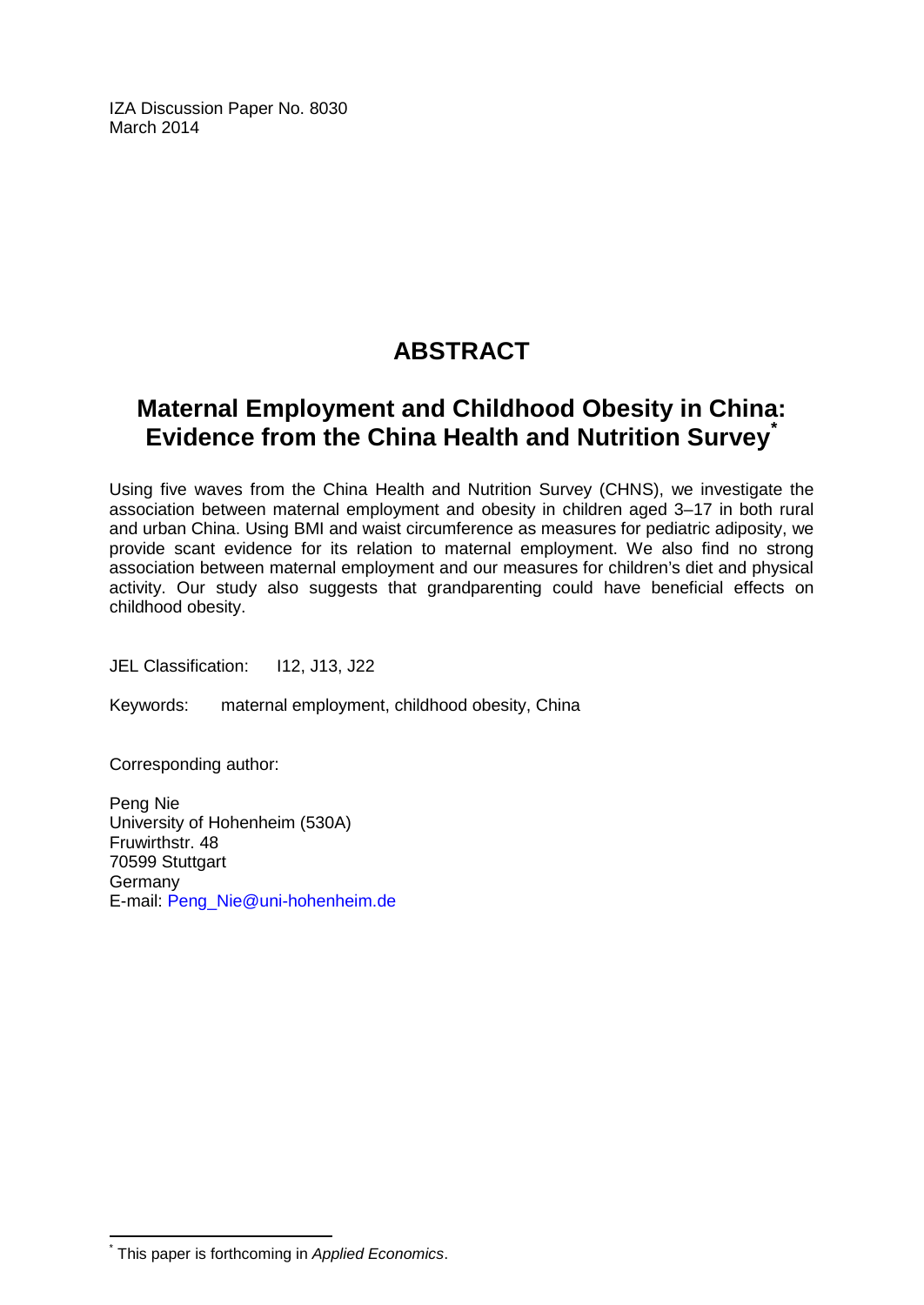IZA Discussion Paper No. 8030 March 2014

# **ABSTRACT**

## **Maternal Employment and Childhood Obesity in China: Evidence from the China Health and Nutrition Survey[\\*](#page-1-0)**

Using five waves from the China Health and Nutrition Survey (CHNS), we investigate the association between maternal employment and obesity in children aged 3–17 in both rural and urban China. Using BMI and waist circumference as measures for pediatric adiposity, we provide scant evidence for its relation to maternal employment. We also find no strong association between maternal employment and our measures for children's diet and physical activity. Our study also suggests that grandparenting could have beneficial effects on childhood obesity.

JEL Classification: I12, J13, J22

Keywords: maternal employment, childhood obesity, China

Corresponding author:

Peng Nie University of Hohenheim (530A) Fruwirthstr. 48 70599 Stuttgart Germany E-mail: [Peng\\_Nie@uni-hohenheim.de](mailto:Peng_Nie@uni-hohenheim.de)

\* This paper is forthcoming in *Applied Economics*.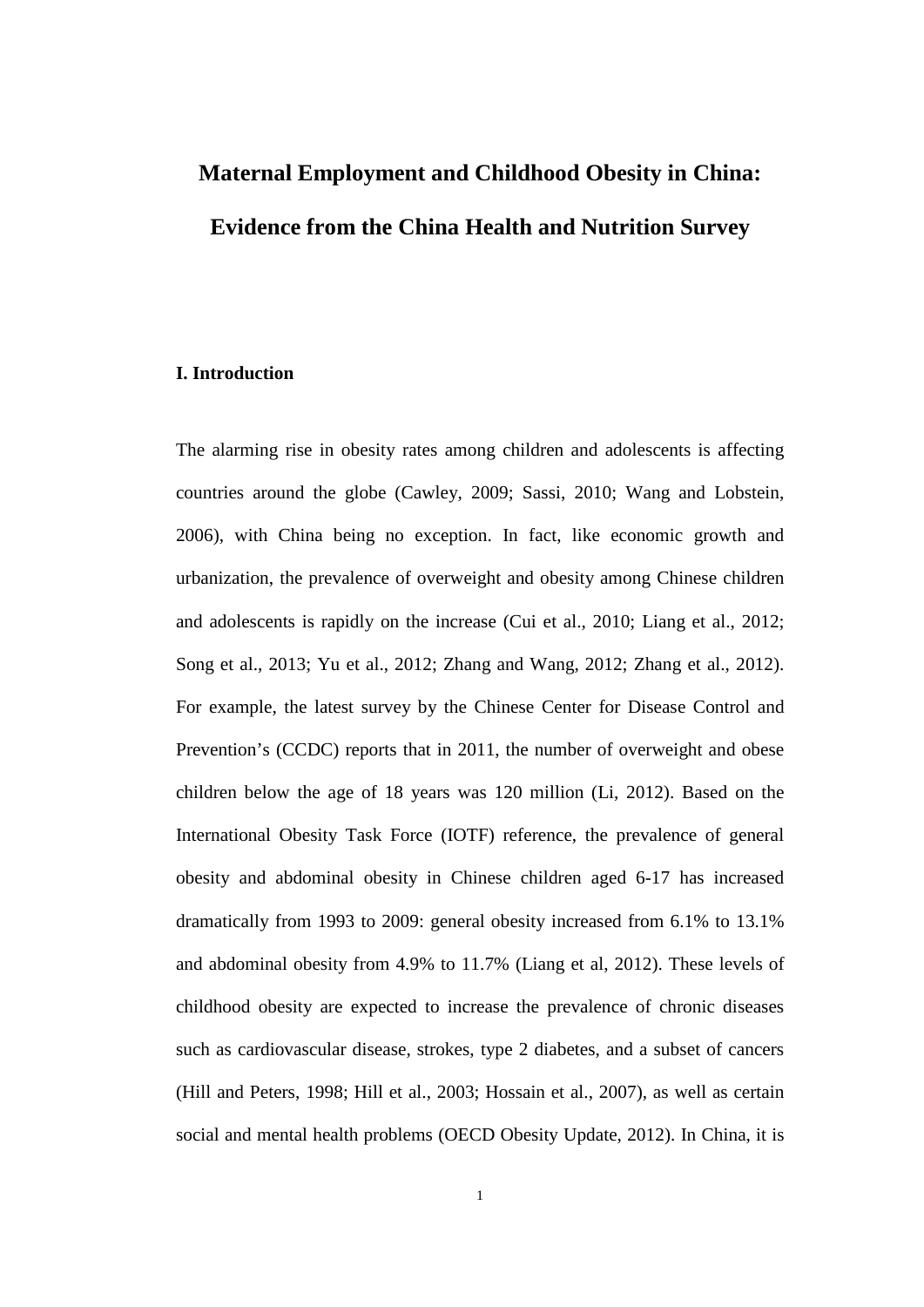# **Maternal Employment and Childhood Obesity in China: Evidence from the China Health and Nutrition Survey**

#### **I. Introduction**

The alarming rise in obesity rates among children and adolescents is affecting countries around the globe (Cawley, 2009; Sassi, 2010; Wang and Lobstein, 2006), with China being no exception. In fact, like economic growth and urbanization, the prevalence of overweight and obesity among Chinese children and adolescents is rapidly on the increase (Cui et al., 2010; Liang et al., 2012; Song et al., 2013; Yu et al., 2012; Zhang and Wang, 2012; Zhang et al., 2012). For example, the latest survey by the Chinese Center for Disease Control and Prevention's (CCDC) reports that in 2011, the number of overweight and obese children below the age of 18 years was 120 million (Li, 2012). Based on the International Obesity Task Force (IOTF) reference, the prevalence of general obesity and abdominal obesity in Chinese children aged 6-17 has increased dramatically from 1993 to 2009: general obesity increased from 6.1% to 13.1% and abdominal obesity from 4.9% to 11.7% (Liang et al, 2012). These levels of childhood obesity are expected to increase the prevalence of chronic diseases such as cardiovascular disease, strokes, type 2 diabetes, and a subset of cancers (Hill and Peters, 1998; Hill et al., 2003; Hossain et al., 2007), as well as certain social and mental health problems (OECD Obesity Update, 2012). In China, it is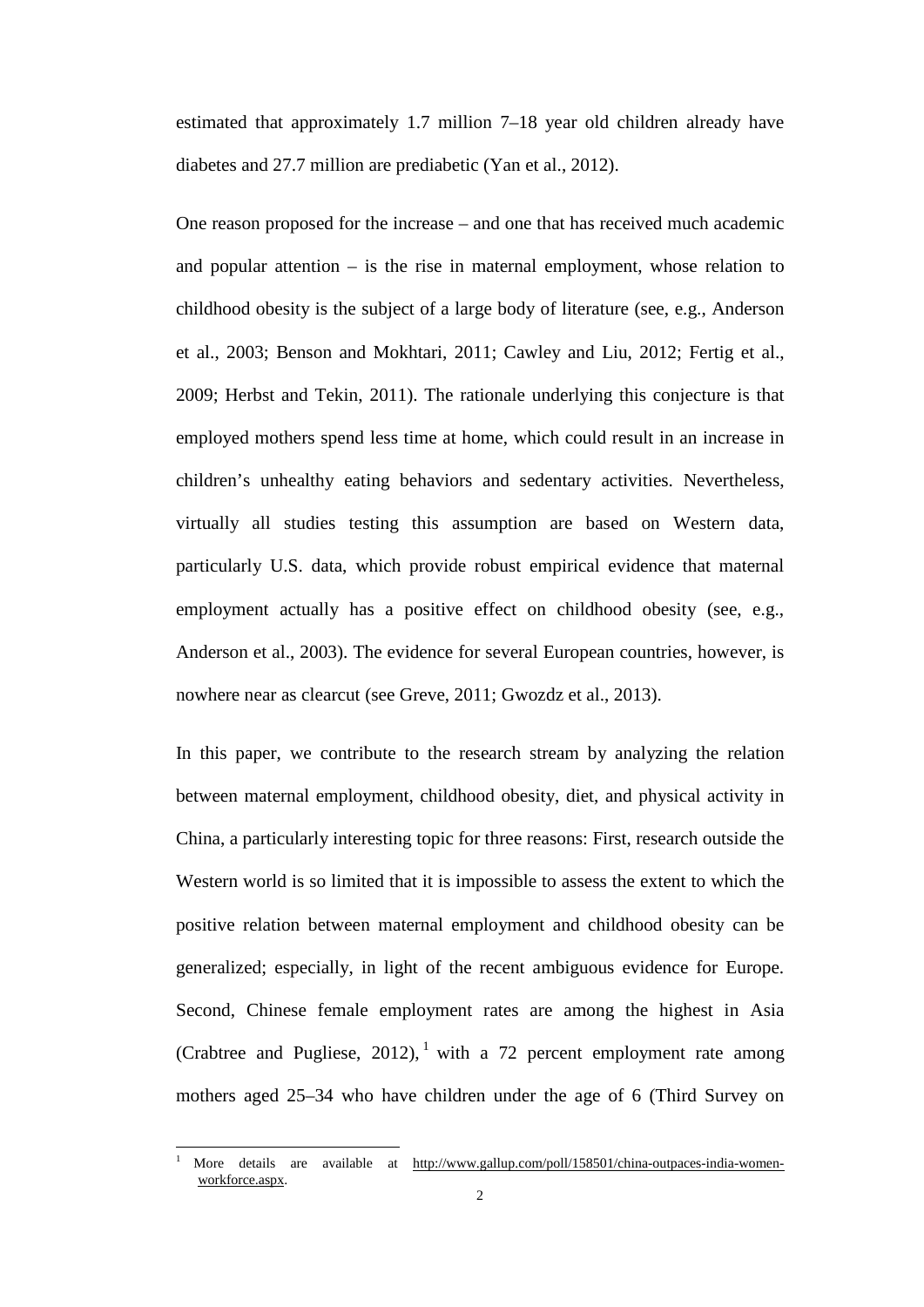estimated that approximately 1.7 million 7–18 year old children already have diabetes and 27.7 million are prediabetic (Yan et al., 2012).

One reason proposed for the increase – and one that has received much academic and popular attention  $-$  is the rise in maternal employment, whose relation to childhood obesity is the subject of a large body of literature (see, e.g., Anderson et al., 2003; Benson and Mokhtari, 2011; Cawley and Liu, 2012; Fertig et al., 2009; Herbst and Tekin, 2011). The rationale underlying this conjecture is that employed mothers spend less time at home, which could result in an increase in children's unhealthy eating behaviors and sedentary activities. Nevertheless, virtually all studies testing this assumption are based on Western data, particularly U.S. data, which provide robust empirical evidence that maternal employment actually has a positive effect on childhood obesity (see, e.g., Anderson et al., 2003). The evidence for several European countries, however, is nowhere near as clearcut (see Greve, 2011; Gwozdz et al., 2013).

In this paper, we contribute to the research stream by analyzing the relation between maternal employment, childhood obesity, diet, and physical activity in China, a particularly interesting topic for three reasons: First, research outside the Western world is so limited that it is impossible to assess the extent to which the positive relation between maternal employment and childhood obesity can be generalized; especially, in light of the recent ambiguous evidence for Europe. Second, Chinese female employment rates are among the highest in Asia (Crabtree and Pugliese, 20[1](#page--1-0)2), <sup>1</sup> with a 72 percent employment rate among mothers aged 25–34 who have children under the age of 6 (Third Survey on

<span id="page-4-0"></span>More details are available at [http://www.gallup.com/poll/158501/china-outpaces-india-women](http://www.gallup.com/poll/158501/china-outpaces-india-women-workforce.aspx)[workforce.aspx.](http://www.gallup.com/poll/158501/china-outpaces-india-women-workforce.aspx)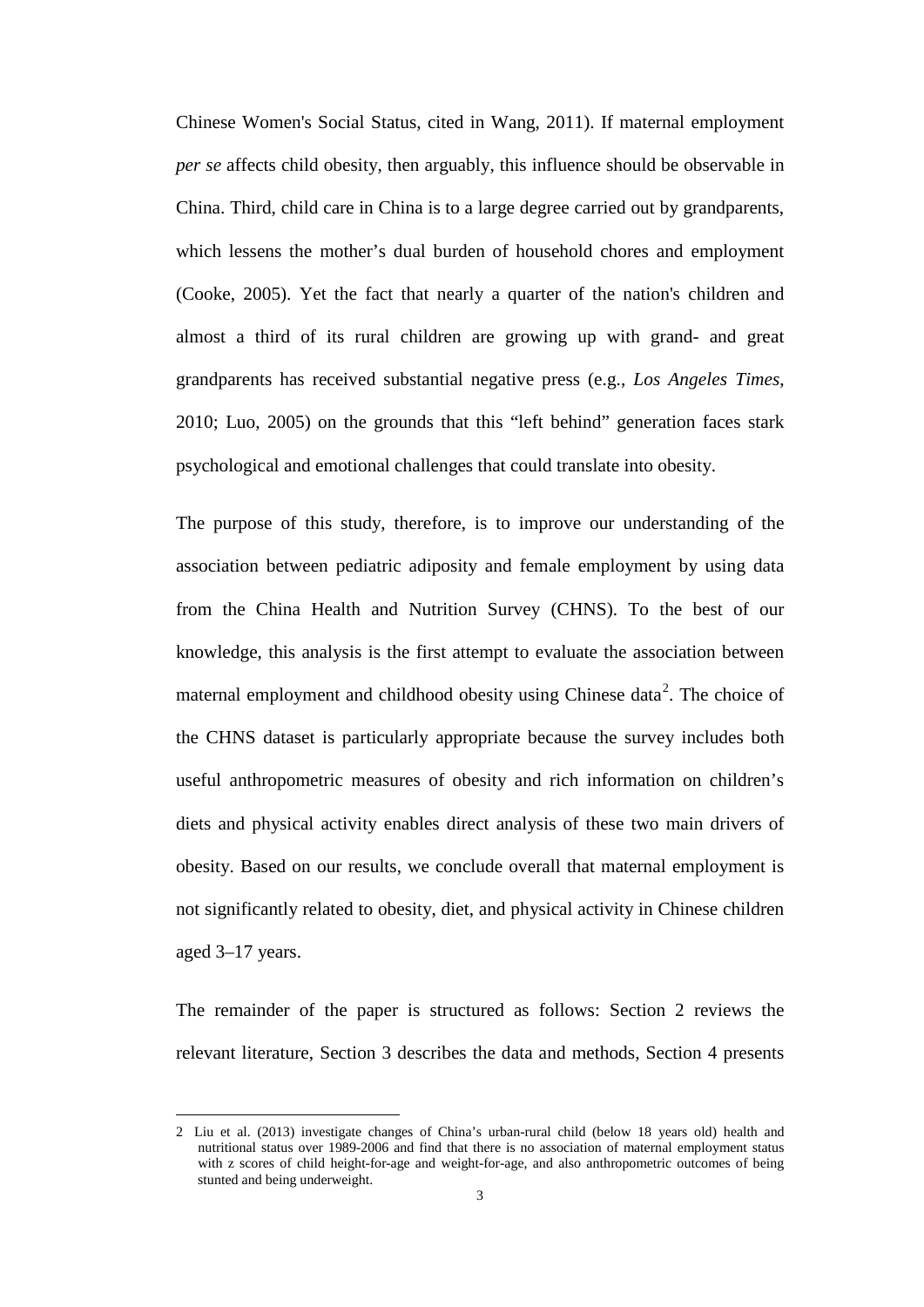Chinese Women's Social Status, cited in Wang, 2011). If maternal employment *per se* affects child obesity, then arguably, this influence should be observable in China. Third, child care in China is to a large degree carried out by grandparents, which lessens the mother's dual burden of household chores and employment (Cooke, 2005). Yet the fact that nearly a quarter of the nation's children and almost a third of its rural children are growing up with grand- and great grandparents has received substantial negative press (e.g., *Los Angeles Times*, 2010; Luo, 2005) on the grounds that this "left behind" generation faces stark psychological and emotional challenges that could translate into obesity.

The purpose of this study, therefore, is to improve our understanding of the association between pediatric adiposity and female employment by using data from the China Health and Nutrition Survey (CHNS). To the best of our knowledge, this analysis is the first attempt to evaluate the association between maternal employment and childhood obesity using Chinese data<sup>[2](#page-4-0)</sup>. The choice of the CHNS dataset is particularly appropriate because the survey includes both useful anthropometric measures of obesity and rich information on children's diets and physical activity enables direct analysis of these two main drivers of obesity. Based on our results, we conclude overall that maternal employment is not significantly related to obesity, diet, and physical activity in Chinese children aged 3–17 years.

The remainder of the paper is structured as follows: Section 2 reviews the relevant literature, Section 3 describes the data and methods, Section 4 presents

j

<span id="page-5-0"></span><sup>2</sup> Liu et al. (2013) investigate changes of China's urban-rural child (below 18 years old) health and nutritional status over 1989-2006 and find that there is no association of maternal employment status with z scores of child height-for-age and weight-for-age, and also anthropometric outcomes of being stunted and being underweight.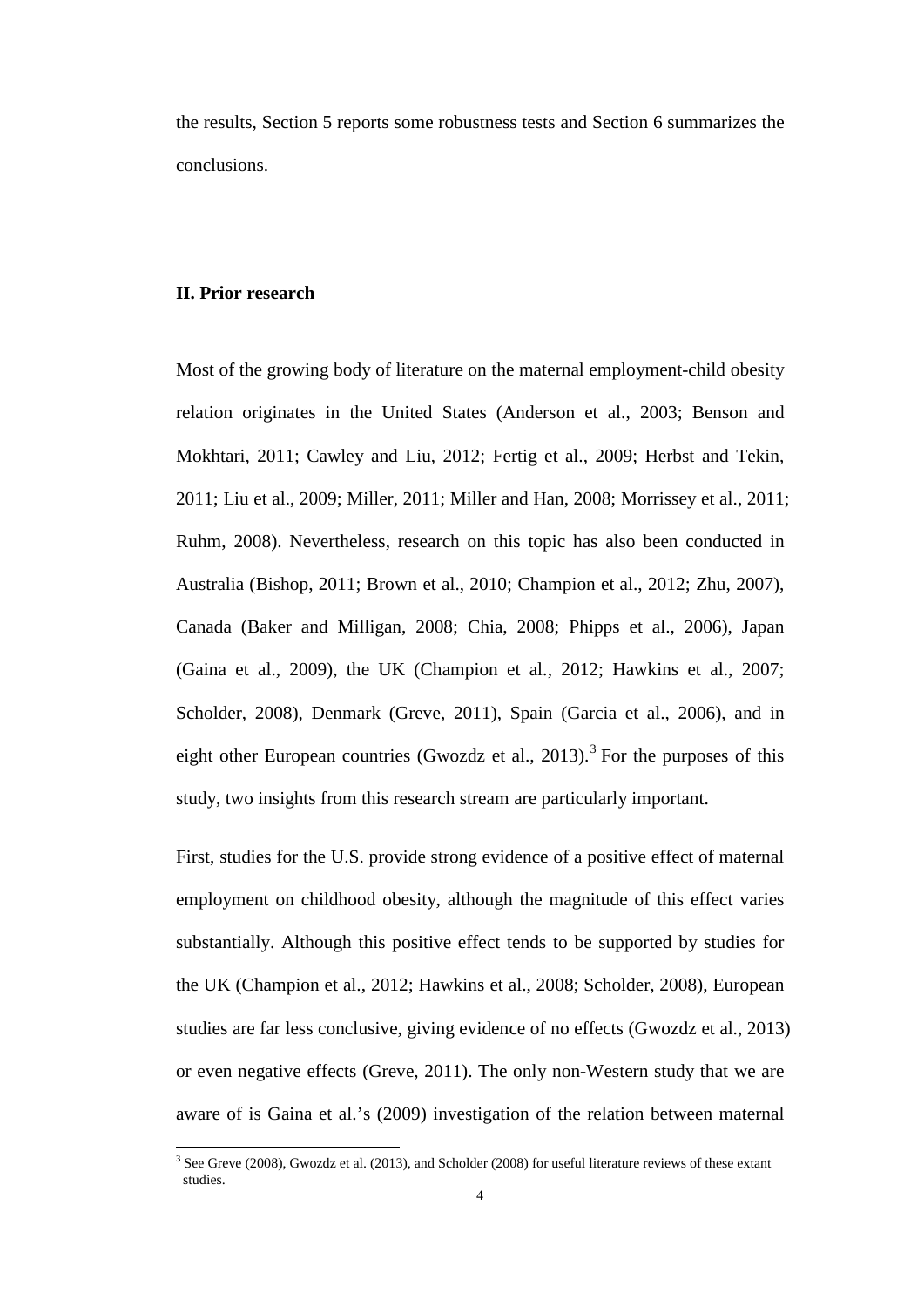the results, Section 5 reports some robustness tests and Section 6 summarizes the conclusions.

#### **II. Prior research**

Most of the growing body of literature on the maternal employment-child obesity relation originates in the United States (Anderson et al., 2003; Benson and Mokhtari, 2011; Cawley and Liu, 2012; Fertig et al., 2009; Herbst and Tekin, 2011; Liu et al., 2009; Miller, 2011; Miller and Han, 2008; Morrissey et al., 2011; Ruhm, 2008). Nevertheless, research on this topic has also been conducted in Australia (Bishop, 2011; Brown et al., 2010; Champion et al., 2012; Zhu, 2007), Canada (Baker and Milligan, 2008; Chia, 2008; Phipps et al., 2006), Japan (Gaina et al., 2009), the UK (Champion et al., 2012; Hawkins et al., 2007; Scholder, 2008), Denmark (Greve, 2011), Spain (Garcia et al., 2006), and in eight other European countries (Gwozdz et al., 201[3](#page-5-0)).<sup>3</sup> For the purposes of this study, two insights from this research stream are particularly important.

First, studies for the U.S. provide strong evidence of a positive effect of maternal employment on childhood obesity, although the magnitude of this effect varies substantially. Although this positive effect tends to be supported by studies for the UK (Champion et al., 2012; Hawkins et al., 2008; Scholder, 2008), European studies are far less conclusive, giving evidence of no effects (Gwozdz et al., 2013) or even negative effects (Greve, 2011). The only non-Western study that we are aware of is Gaina et al.'s (2009) investigation of the relation between maternal

<span id="page-6-0"></span> $3$  See Greve (2008), Gwozdz et al. (2013), and Scholder (2008) for useful literature reviews of these extant studies.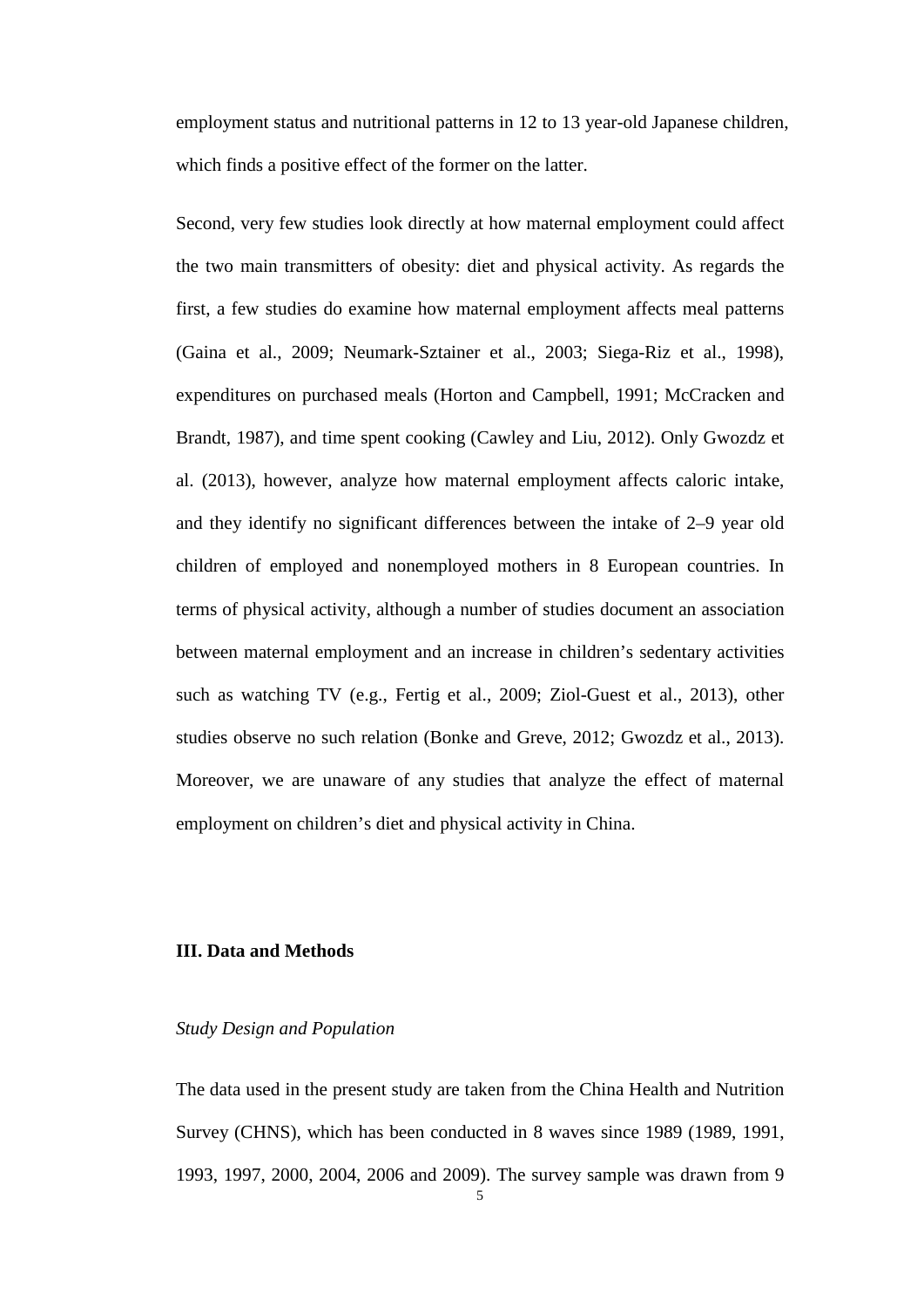employment status and nutritional patterns in 12 to 13 year-old Japanese children, which finds a positive effect of the former on the latter.

Second, very few studies look directly at how maternal employment could affect the two main transmitters of obesity: diet and physical activity. As regards the first, a few studies do examine how maternal employment affects meal patterns (Gaina et al., 2009; Neumark-Sztainer et al., 2003; Siega-Riz et al., 1998), expenditures on purchased meals (Horton and Campbell, 1991; McCracken and Brandt, 1987), and time spent cooking (Cawley and Liu, 2012). Only Gwozdz et al. (2013), however, analyze how maternal employment affects caloric intake, and they identify no significant differences between the intake of 2–9 year old children of employed and nonemployed mothers in 8 European countries. In terms of physical activity, although a number of studies document an association between maternal employment and an increase in children's sedentary activities such as watching TV (e.g., Fertig et al., 2009; Ziol-Guest et al., 2013), other studies observe no such relation (Bonke and Greve, 2012; Gwozdz et al., 2013). Moreover, we are unaware of any studies that analyze the effect of maternal employment on children's diet and physical activity in China.

#### **III. Data and Methods**

#### *Study Design and Population*

The data used in the present study are taken from the China Health and Nutrition Survey (CHNS), which has been conducted in 8 waves since 1989 (1989, 1991, 1993, 1997, 2000, 2004, 2006 and 2009). The survey sample was drawn from 9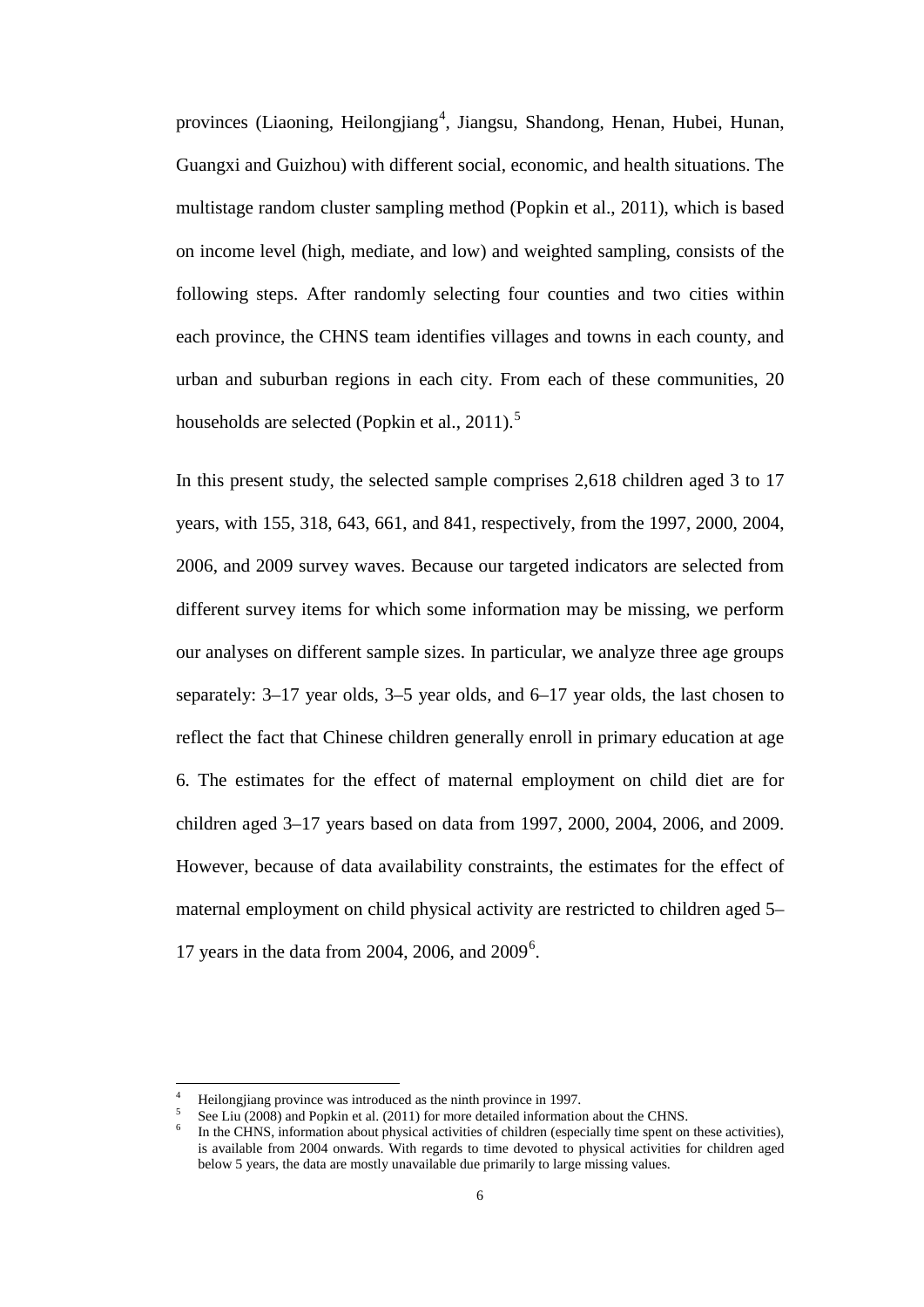provinces (Liaoning, Heilongjiang<sup>[4](#page-6-0)</sup>, Jiangsu, Shandong, Henan, Hubei, Hunan, Guangxi and Guizhou) with different social, economic, and health situations. The multistage random cluster sampling method (Popkin et al., 2011), which is based on income level (high, mediate, and low) and weighted sampling, consists of the following steps. After randomly selecting four counties and two cities within each province, the CHNS team identifies villages and towns in each county, and urban and suburban regions in each city. From each of these communities, 20 households are selected (Popkin et al., 2011).<sup>[5](#page-8-0)</sup>

In this present study, the selected sample comprises 2,618 children aged 3 to 17 years, with 155, 318, 643, 661, and 841, respectively, from the 1997, 2000, 2004, 2006, and 2009 survey waves. Because our targeted indicators are selected from different survey items for which some information may be missing, we perform our analyses on different sample sizes. In particular, we analyze three age groups separately: 3–17 year olds, 3–5 year olds, and 6–17 year olds, the last chosen to reflect the fact that Chinese children generally enroll in primary education at age 6. The estimates for the effect of maternal employment on child diet are for children aged 3–17 years based on data from 1997, 2000, 2004, 2006, and 2009. However, because of data availability constraints, the estimates for the effect of maternal employment on child physical activity are restricted to children aged 5– 17 years in the data from 2004, 200[6](#page-8-1), and  $2009^6$ .

<span id="page-8-2"></span><span id="page-8-1"></span><span id="page-8-0"></span>

Heilongjiang province was introduced as the ninth province in 1997.<br>See Liu (2008) and Popkin et al. (2011) for more detailed information about the CHNS.<br>In the CHNS, information about physical activities of children (espe is available from 2004 onwards. With regards to time devoted to physical activities for children aged below 5 years, the data are mostly unavailable due primarily to large missing values.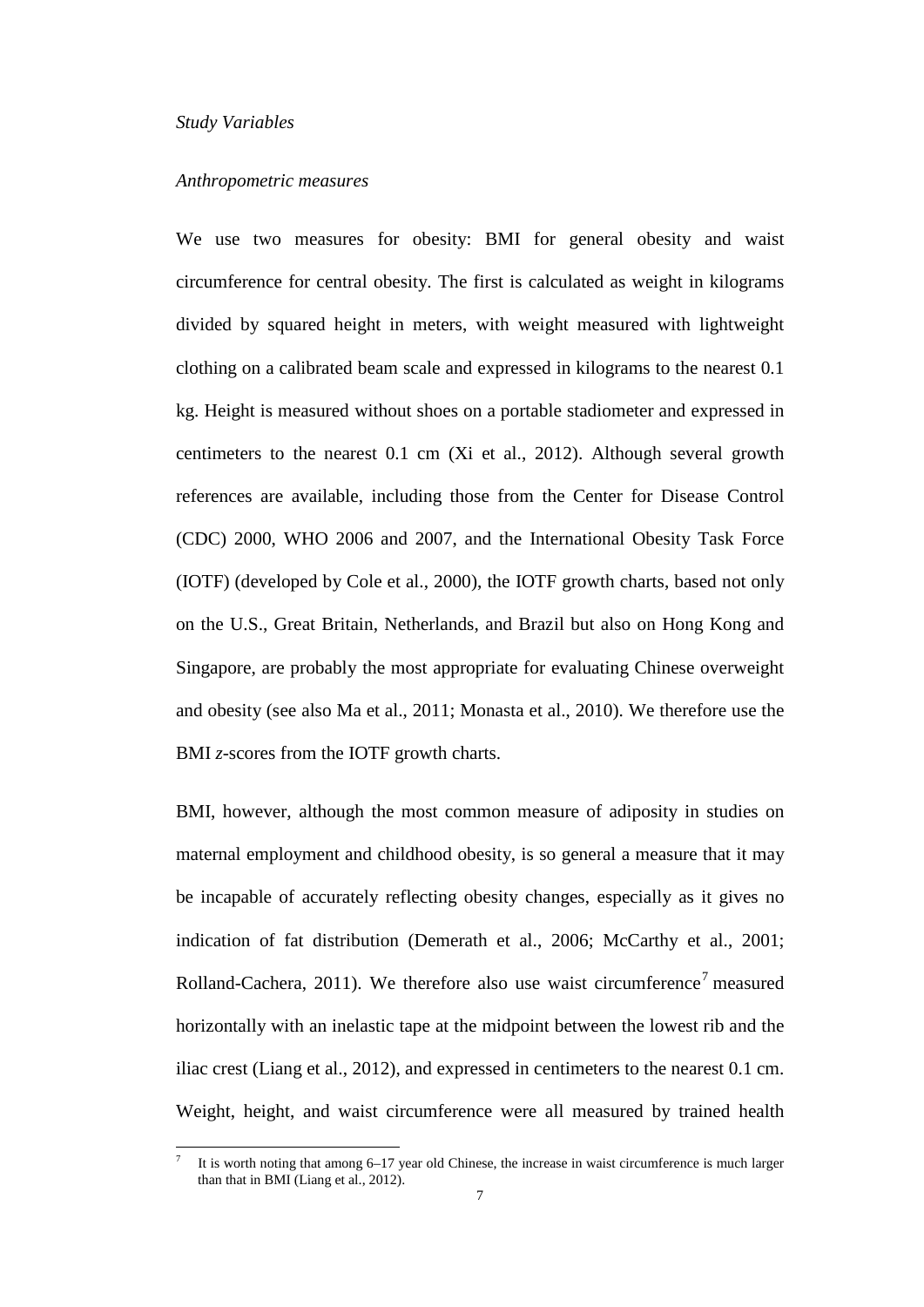#### *Study Variables*

#### *Anthropometric measures*

We use two measures for obesity: BMI for general obesity and waist circumference for central obesity. The first is calculated as weight in kilograms divided by squared height in meters, with weight measured with lightweight clothing on a calibrated beam scale and expressed in kilograms to the nearest 0.1 kg. Height is measured without shoes on a portable stadiometer and expressed in centimeters to the nearest 0.1 cm (Xi et al., 2012). Although several growth references are available, including those from the Center for Disease Control (CDC) 2000, WHO 2006 and 2007, and the International Obesity Task Force (IOTF) (developed by Cole et al., 2000), the IOTF growth charts, based not only on the U.S., Great Britain, Netherlands, and Brazil but also on Hong Kong and Singapore, are probably the most appropriate for evaluating Chinese overweight and obesity (see also Ma et al., 2011; Monasta et al., 2010). We therefore use the BMI *z*-scores from the IOTF growth charts.

BMI, however, although the most common measure of adiposity in studies on maternal employment and childhood obesity, is so general a measure that it may be incapable of accurately reflecting obesity changes, especially as it gives no indication of fat distribution (Demerath et al., 2006; McCarthy et al., 2001; Rolland-Cachera, 2011). We therefore also use waist circumference<sup>[7](#page-8-2)</sup> measured horizontally with an inelastic tape at the midpoint between the lowest rib and the iliac crest (Liang et al., 2012), and expressed in centimeters to the nearest 0.1 cm. Weight, height, and waist circumference were all measured by trained health

<span id="page-9-0"></span>It is worth noting that among 6–17 year old Chinese, the increase in waist circumference is much larger than that in BMI (Liang et al., 2012).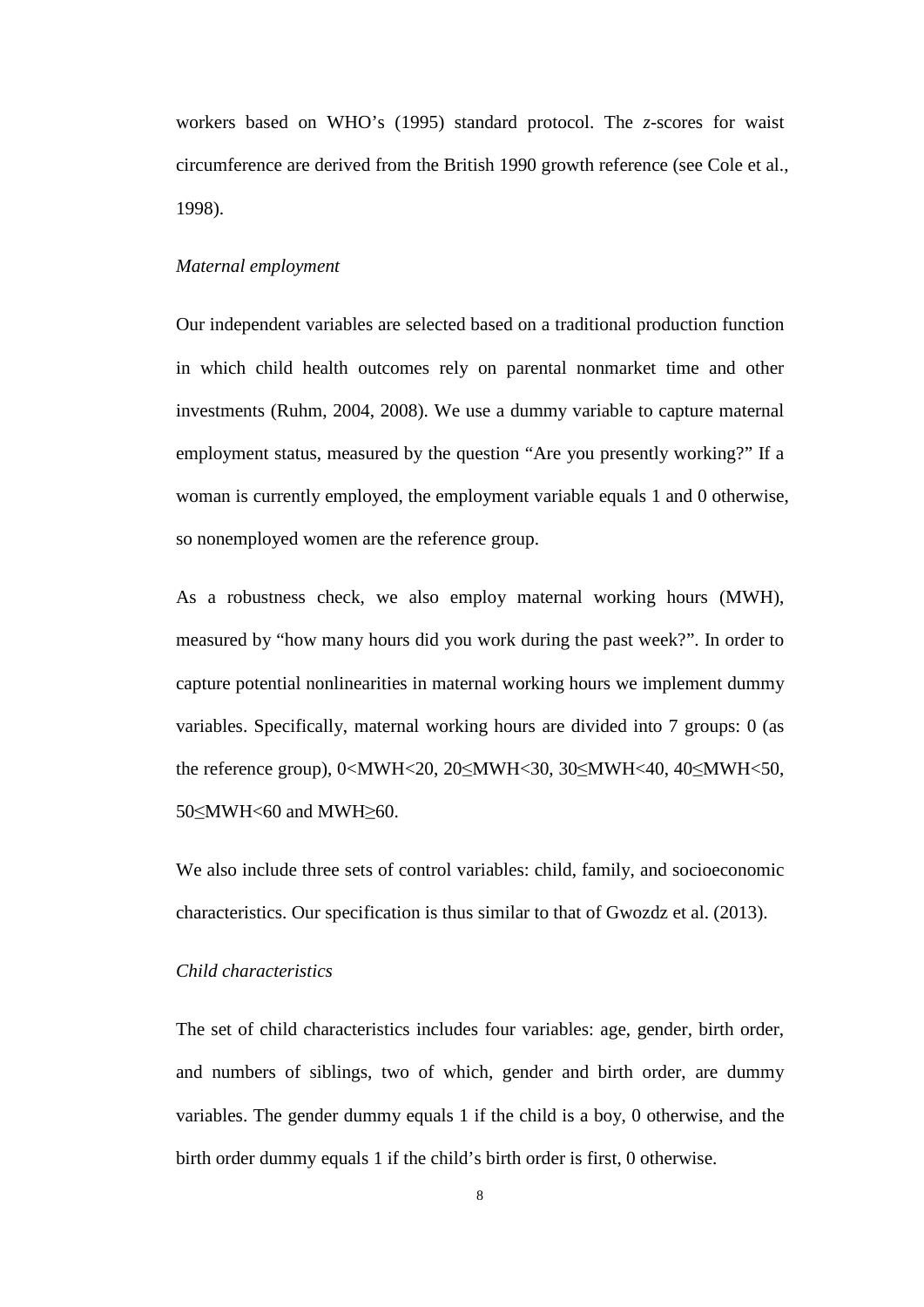workers based on WHO's (1995) standard protocol. The *z*-scores for waist circumference are derived from the British 1990 growth reference (see Cole et al., 1998).

#### *Maternal employment*

Our independent variables are selected based on a traditional production function in which child health outcomes rely on parental nonmarket time and other investments (Ruhm, 2004, 2008). We use a dummy variable to capture maternal employment status, measured by the question "Are you presently working?" If a woman is currently employed, the employment variable equals 1 and 0 otherwise, so nonemployed women are the reference group.

As a robustness check, we also employ maternal working hours (MWH), measured by "how many hours did you work during the past week?". In order to capture potential nonlinearities in maternal working hours we implement dummy variables. Specifically, maternal working hours are divided into 7 groups: 0 (as the reference group), 0<MWH<20, 20≤MWH<30, 30≤MWH<40, 40≤MWH<50, 50≤MWH<60 and MWH≥60.

We also include three sets of control variables: child, family, and socioeconomic characteristics. Our specification is thus similar to that of Gwozdz et al. (2013).

#### *Child characteristics*

The set of child characteristics includes four variables: age, gender, birth order, and numbers of siblings, two of which, gender and birth order, are dummy variables. The gender dummy equals 1 if the child is a boy, 0 otherwise, and the birth order dummy equals 1 if the child's birth order is first, 0 otherwise.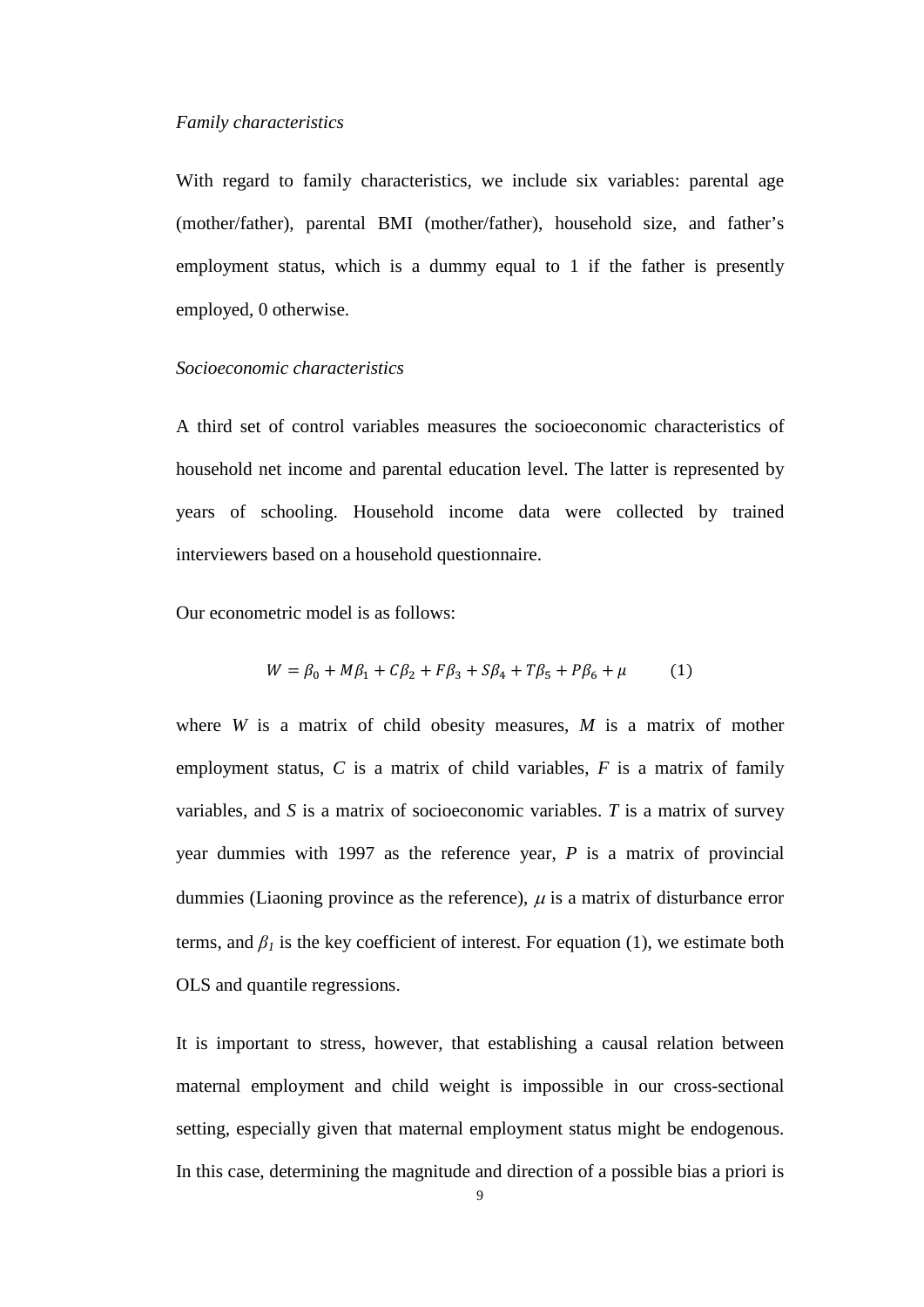#### *Family characteristics*

With regard to family characteristics, we include six variables: parental age (mother/father), parental BMI (mother/father), household size, and father's employment status, which is a dummy equal to 1 if the father is presently employed, 0 otherwise.

#### *Socioeconomic characteristics*

A third set of control variables measures the socioeconomic characteristics of household net income and parental education level. The latter is represented by years of schooling. Household income data were collected by trained interviewers based on a household questionnaire.

Our econometric model is as follows:

$$
W = \beta_0 + M\beta_1 + C\beta_2 + F\beta_3 + S\beta_4 + T\beta_5 + P\beta_6 + \mu
$$
 (1)

where *W* is a matrix of child obesity measures, *M* is a matrix of mother employment status, *C* is a matrix of child variables, *F* is a matrix of family variables, and *S* is a matrix of socioeconomic variables. *T* is a matrix of survey year dummies with 1997 as the reference year, *P* is a matrix of provincial dummies (Liaoning province as the reference),  $\mu$  is a matrix of disturbance error terms, and  $\beta_l$  is the key coefficient of interest. For equation (1), we estimate both OLS and quantile regressions.

It is important to stress, however, that establishing a causal relation between maternal employment and child weight is impossible in our cross-sectional setting, especially given that maternal employment status might be endogenous. In this case, determining the magnitude and direction of a possible bias a priori is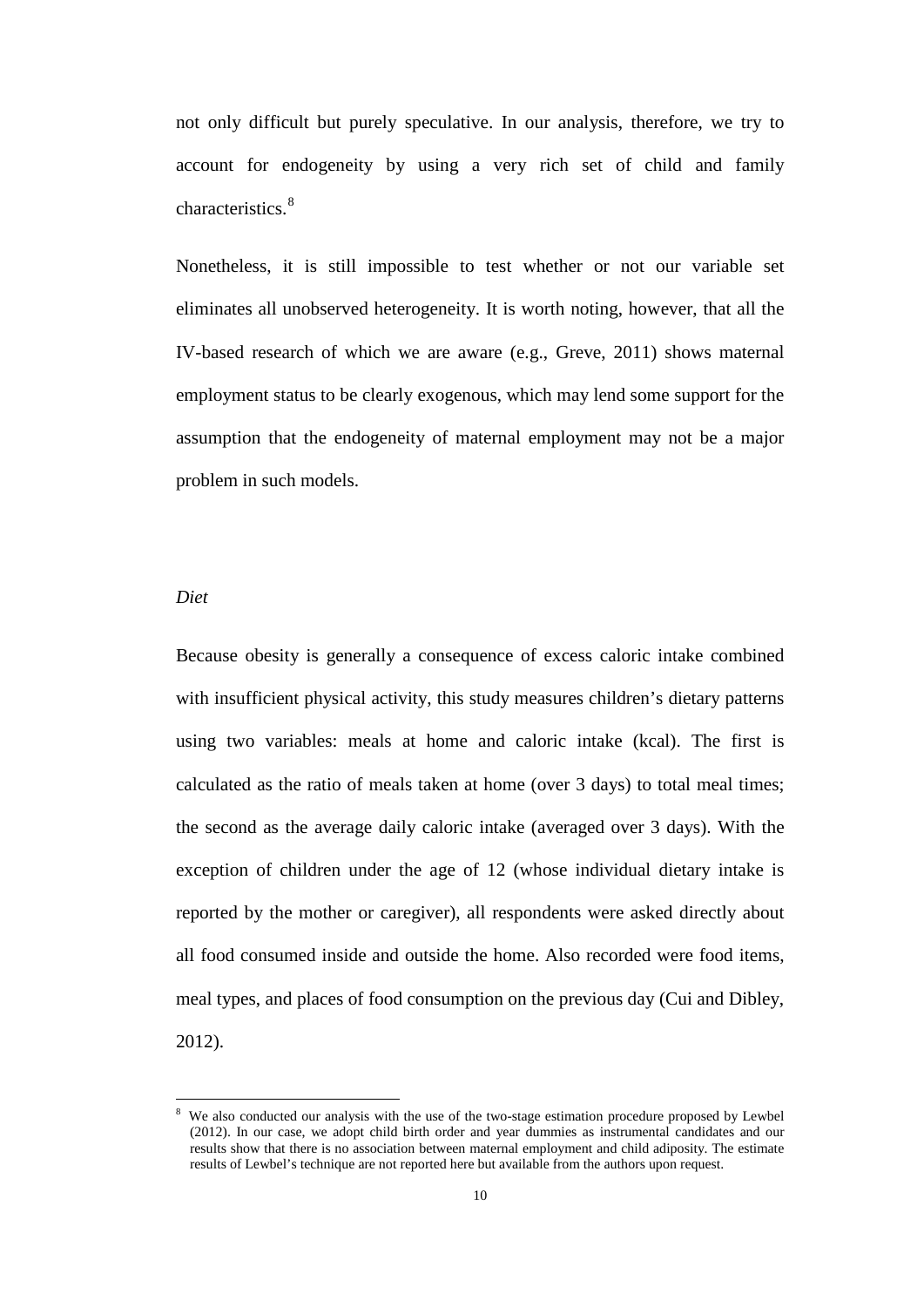not only difficult but purely speculative. In our analysis, therefore, we try to account for endogeneity by using a very rich set of child and family characteristics. [8](#page-9-0)

Nonetheless, it is still impossible to test whether or not our variable set eliminates all unobserved heterogeneity. It is worth noting, however, that all the IV-based research of which we are aware (e.g., Greve, 2011) shows maternal employment status to be clearly exogenous, which may lend some support for the assumption that the endogeneity of maternal employment may not be a major problem in such models.

#### *Diet*

 $\overline{a}$ 

Because obesity is generally a consequence of excess caloric intake combined with insufficient physical activity, this study measures children's dietary patterns using two variables: meals at home and caloric intake (kcal). The first is calculated as the ratio of meals taken at home (over 3 days) to total meal times; the second as the average daily caloric intake (averaged over 3 days). With the exception of children under the age of 12 (whose individual dietary intake is reported by the mother or caregiver), all respondents were asked directly about all food consumed inside and outside the home. Also recorded were food items, meal types, and places of food consumption on the previous day (Cui and Dibley, 2012).

<span id="page-12-0"></span><sup>8</sup> We also conducted our analysis with the use of the two-stage estimation procedure proposed by Lewbel (2012). In our case, we adopt child birth order and year dummies as instrumental candidates and our results show that there is no association between maternal employment and child adiposity. The estimate results of Lewbel's technique are not reported here but available from the authors upon request.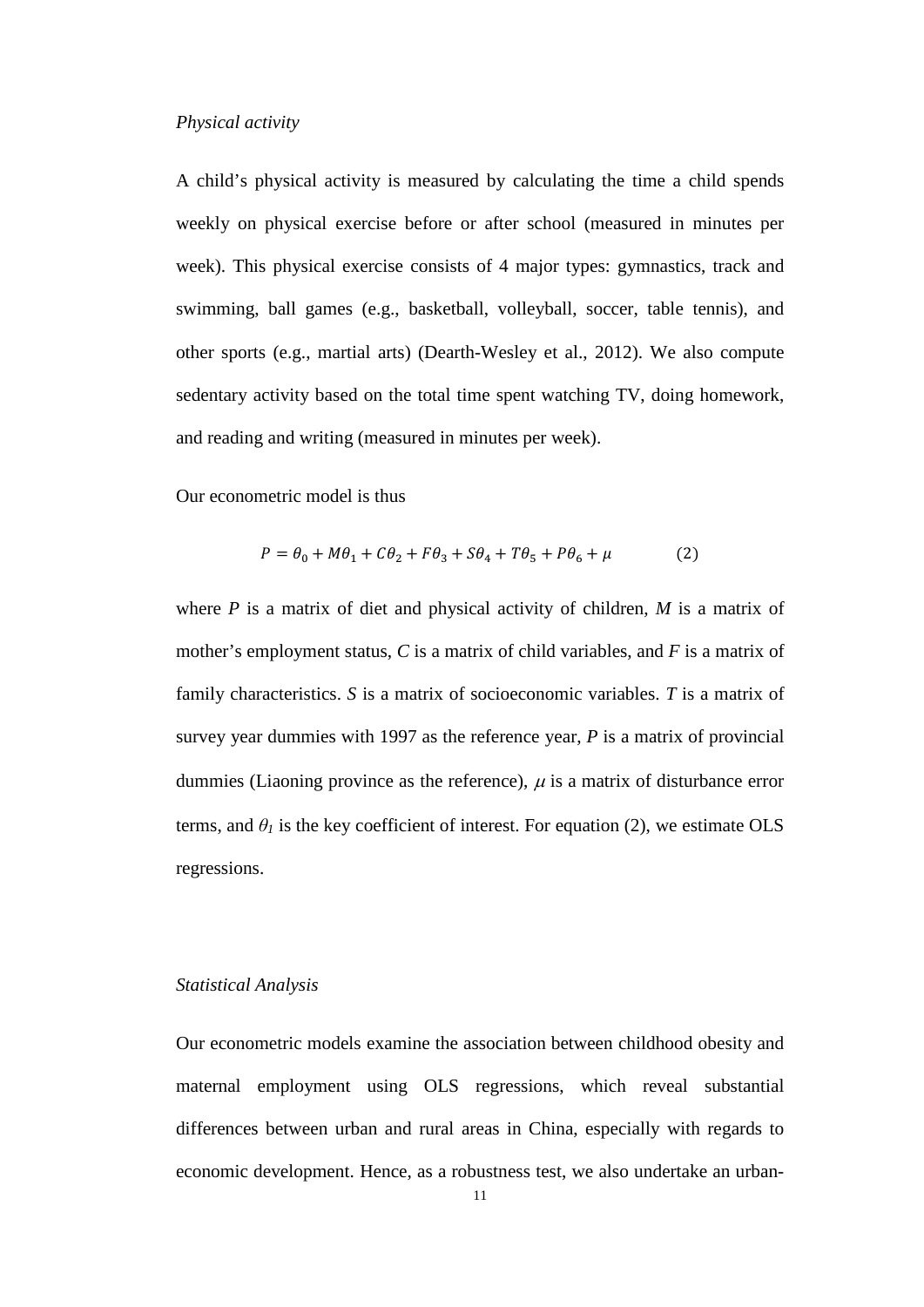#### *Physical activity*

A child's physical activity is measured by calculating the time a child spends weekly on physical exercise before or after school (measured in minutes per week). This physical exercise consists of 4 major types: gymnastics, track and swimming, ball games (e.g., basketball, volleyball, soccer, table tennis), and other sports (e.g., martial arts) (Dearth-Wesley et al., 2012). We also compute sedentary activity based on the total time spent watching TV, doing homework, and reading and writing (measured in minutes per week).

Our econometric model is thus

$$
P = \theta_0 + M\theta_1 + C\theta_2 + F\theta_3 + S\theta_4 + T\theta_5 + P\theta_6 + \mu \tag{2}
$$

where *P* is a matrix of diet and physical activity of children, *M* is a matrix of mother's employment status, *C* is a matrix of child variables, and *F* is a matrix of family characteristics. *S* is a matrix of socioeconomic variables. *T* is a matrix of survey year dummies with 1997 as the reference year, *P* is a matrix of provincial dummies (Liaoning province as the reference),  $\mu$  is a matrix of disturbance error terms, and  $\theta_l$  is the key coefficient of interest. For equation (2), we estimate OLS regressions.

#### *Statistical Analysis*

Our econometric models examine the association between childhood obesity and maternal employment using OLS regressions, which reveal substantial differences between urban and rural areas in China, especially with regards to economic development. Hence, as a robustness test, we also undertake an urban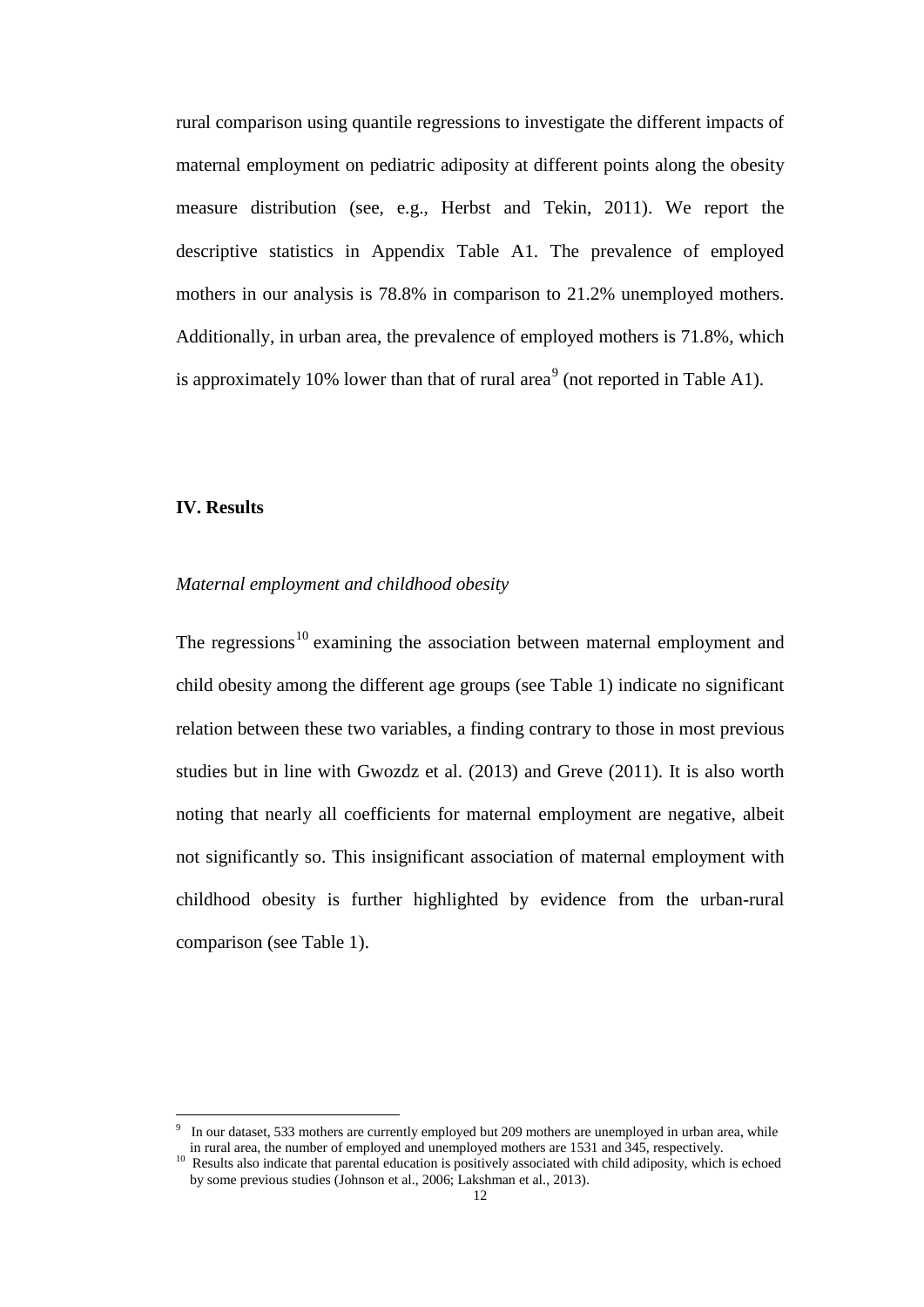rural comparison using quantile regressions to investigate the different impacts of maternal employment on pediatric adiposity at different points along the obesity measure distribution (see, e.g., Herbst and Tekin, 2011). We report the descriptive statistics in Appendix Table A1. The prevalence of employed mothers in our analysis is 78.8% in comparison to 21.2% unemployed mothers. Additionally, in urban area, the prevalence of employed mothers is 71.8%, which is approximately 10% lower than that of rural area<sup>[9](#page-12-0)</sup> (not reported in Table A1).

#### **IV. Results**

<span id="page-14-1"></span>j

#### *Maternal employment and childhood obesity*

The regressions<sup>[10](#page-14-0)</sup> examining the association between maternal employment and child obesity among the different age groups (see Table 1) indicate no significant relation between these two variables, a finding contrary to those in most previous studies but in line with Gwozdz et al. (2013) and Greve (2011). It is also worth noting that nearly all coefficients for maternal employment are negative, albeit not significantly so. This insignificant association of maternal employment with childhood obesity is further highlighted by evidence from the urban-rural comparison (see Table 1).

<sup>9</sup> In our dataset, 533 mothers are currently employed but 209 mothers are unemployed in urban area, while in rural area, the number of employed and unemployed mothers are 1531 and 345, respectively.

<span id="page-14-0"></span> $\frac{10}{10}$  Results also indicate that parental education is positively associated with child adiposity, which is echoed by some previous studies (Johnson et al., 2006; Lakshman et al., 2013).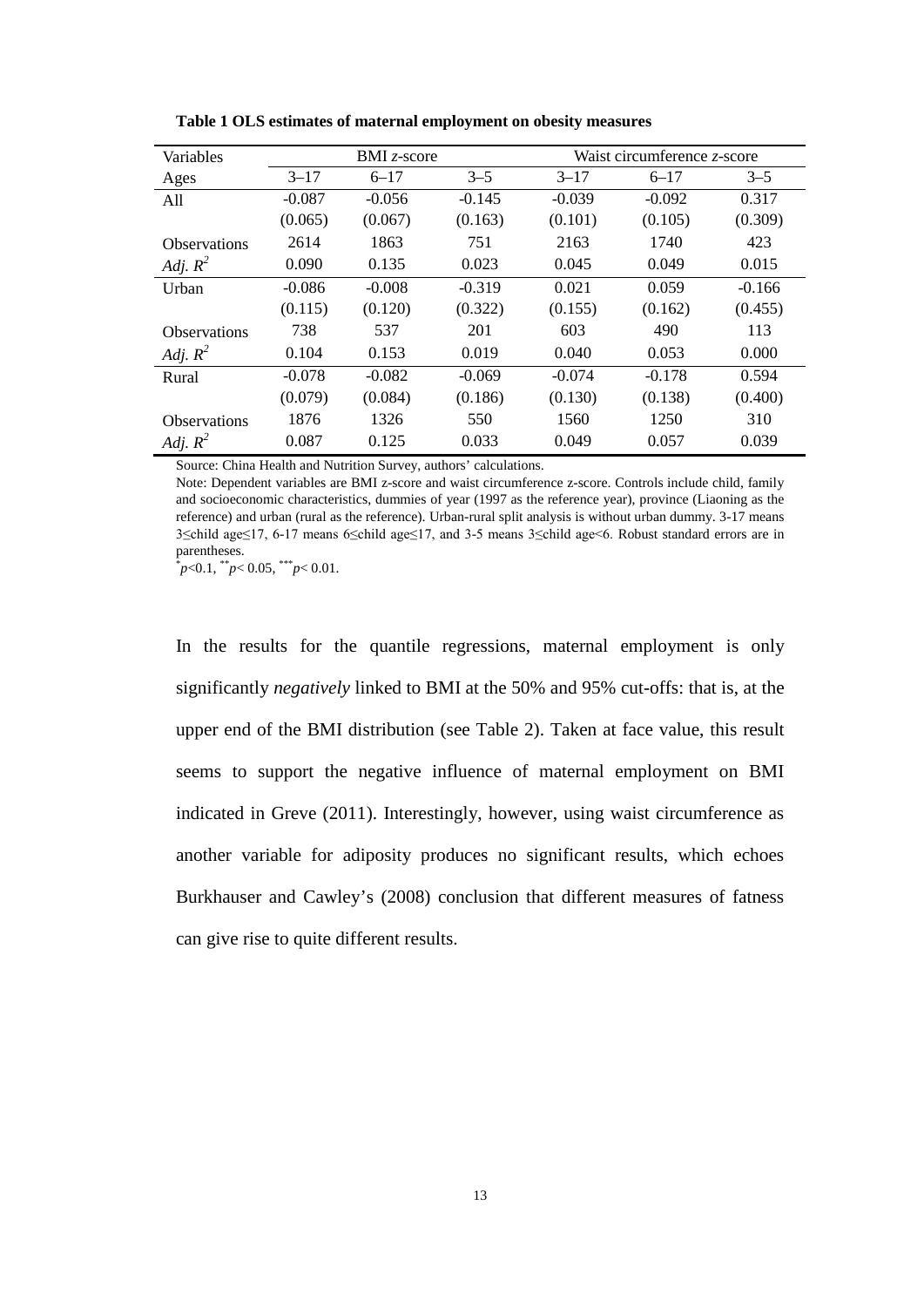| Variables           | BMI $z$ -score |          |          | Waist circumference z-score |          |          |
|---------------------|----------------|----------|----------|-----------------------------|----------|----------|
| Ages                | $3 - 17$       | $6 - 17$ | $3 - 5$  | $3 - 17$                    | $6 - 17$ | $3 - 5$  |
| All                 | $-0.087$       | $-0.056$ | $-0.145$ | $-0.039$                    | $-0.092$ | 0.317    |
|                     | (0.065)        | (0.067)  | (0.163)  | (0.101)                     | (0.105)  | (0.309)  |
| <b>Observations</b> | 2614           | 1863     | 751      | 2163                        | 1740     | 423      |
| Adj. $R^2$          | 0.090          | 0.135    | 0.023    | 0.045                       | 0.049    | 0.015    |
| Urban               | $-0.086$       | $-0.008$ | $-0.319$ | 0.021                       | 0.059    | $-0.166$ |
|                     | (0.115)        | (0.120)  | (0.322)  | (0.155)                     | (0.162)  | (0.455)  |
| <b>Observations</b> | 738            | 537      | 201      | 603                         | 490      | 113      |
| Adj. $R^2$          | 0.104          | 0.153    | 0.019    | 0.040                       | 0.053    | 0.000    |
| Rural               | $-0.078$       | $-0.082$ | $-0.069$ | $-0.074$                    | $-0.178$ | 0.594    |
|                     | (0.079)        | (0.084)  | (0.186)  | (0.130)                     | (0.138)  | (0.400)  |
| <b>Observations</b> | 1876           | 1326     | 550      | 1560                        | 1250     | 310      |
| Adj. $R^2$          | 0.087          | 0.125    | 0.033    | 0.049                       | 0.057    | 0.039    |

**Table 1 OLS estimates of maternal employment on obesity measures**

Source: China Health and Nutrition Survey, authors' calculations.

Note: Dependent variables are BMI z-score and waist circumference z-score. Controls include child, family and socioeconomic characteristics, dummies of year (1997 as the reference year), province (Liaoning as the reference) and urban (rural as the reference). Urban-rural split analysis is without urban dummy. 3-17 means 3≤child age≤17, 6-17 means 6≤child age≤17, and 3-5 means 3≤child age<6. Robust standard errors are in parentheses.

\* *p*<0.1, \*\**p*< 0.05, \*\*\**p*< 0.01.

In the results for the quantile regressions, maternal employment is only significantly *negatively* linked to BMI at the 50% and 95% cut-offs: that is, at the upper end of the BMI distribution (see Table 2). Taken at face value, this result seems to support the negative influence of maternal employment on BMI indicated in Greve (2011). Interestingly, however, using waist circumference as another variable for adiposity produces no significant results, which echoes Burkhauser and Cawley's (2008) conclusion that different measures of fatness can give rise to quite different results.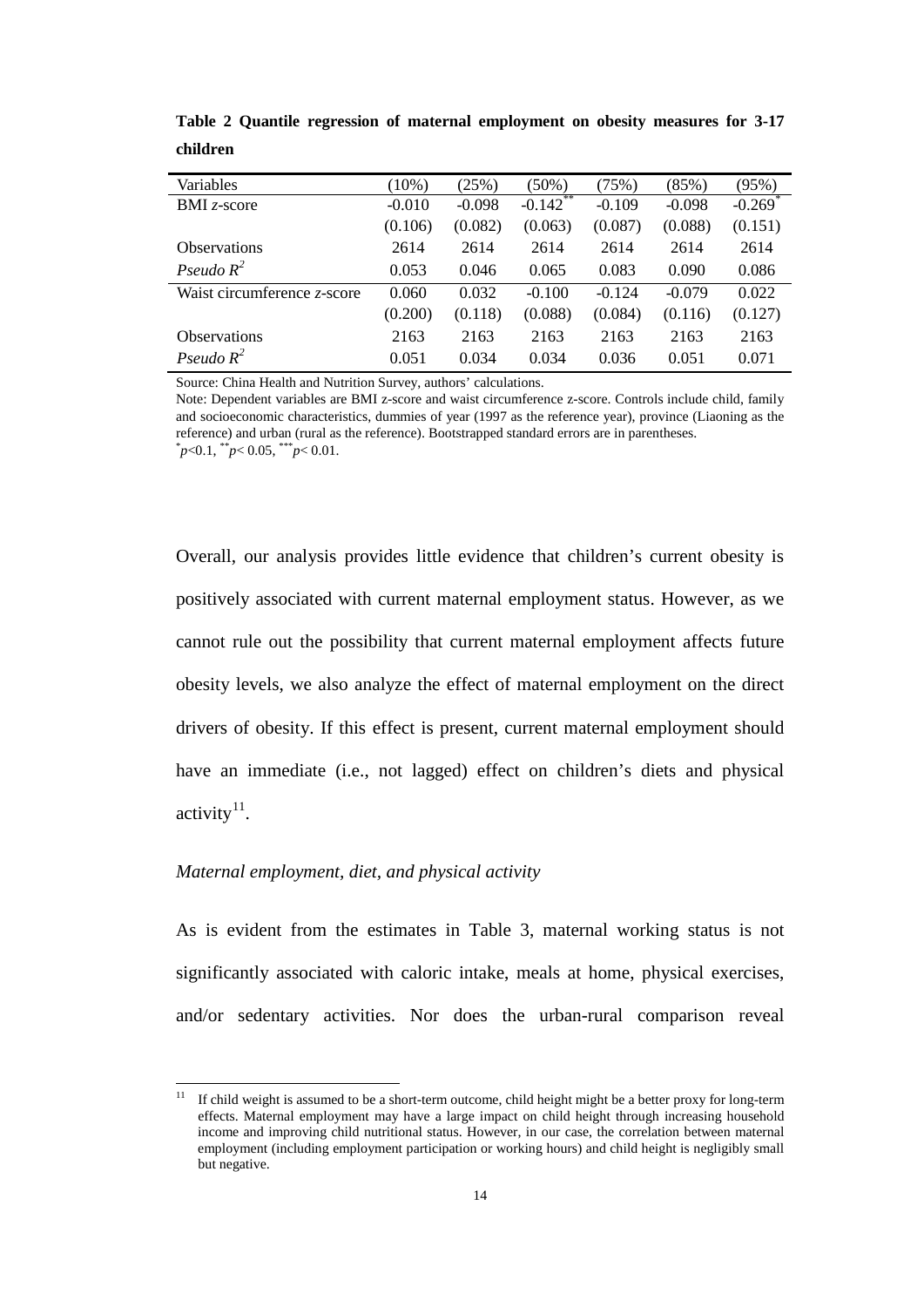| Variables                   | $(10\%)$ | (25%)    | (50%)       | (75%)    | (85%)    | (95%)                 |
|-----------------------------|----------|----------|-------------|----------|----------|-----------------------|
| $BMI z-score$               | $-0.010$ | $-0.098$ | $-0.142$ ** | $-0.109$ | $-0.098$ | $-0.269$ <sup>*</sup> |
|                             | (0.106)  | (0.082)  | (0.063)     | (0.087)  | (0.088)  | (0.151)               |
| <b>Observations</b>         | 2614     | 2614     | 2614        | 2614     | 2614     | 2614                  |
| Pseudo $R^2$                | 0.053    | 0.046    | 0.065       | 0.083    | 0.090    | 0.086                 |
| Waist circumference z-score | 0.060    | 0.032    | $-0.100$    | $-0.124$ | $-0.079$ | 0.022                 |
|                             | (0.200)  | (0.118)  | (0.088)     | (0.084)  | (0.116)  | (0.127)               |
| <b>Observations</b>         | 2163     | 2163     | 2163        | 2163     | 2163     | 2163                  |
| Pseudo $R^2$                | 0.051    | 0.034    | 0.034       | 0.036    | 0.051    | 0.071                 |

**Table 2 Quantile regression of maternal employment on obesity measures for 3-17 children**

Source: China Health and Nutrition Survey, authors' calculations.

Note: Dependent variables are BMI z-score and waist circumference z-score. Controls include child, family and socioeconomic characteristics, dummies of year (1997 as the reference year), province (Liaoning as the reference) and urban (rural as the reference). Bootstrapped standard errors are in parentheses. \*  $p < 0.1$ ,  $p < 0.05$ ,  $p < 0.01$ .

Overall, our analysis provides little evidence that children's current obesity is positively associated with current maternal employment status. However, as we cannot rule out the possibility that current maternal employment affects future obesity levels, we also analyze the effect of maternal employment on the direct drivers of obesity. If this effect is present, current maternal employment should have an immediate (i.e., not lagged) effect on children's diets and physical activity $^{11}$  $^{11}$  $^{11}$ .

#### *Maternal employment, diet, and physical activity*

As is evident from the estimates in Table 3, maternal working status is not significantly associated with caloric intake, meals at home, physical exercises, and/or sedentary activities. Nor does the urban-rural comparison reveal

<span id="page-16-0"></span><sup>&</sup>lt;sup>11</sup> If child weight is assumed to be a short-term outcome, child height might be a better proxy for long-term effects. Maternal employment may have a large impact on child height through increasing household income and improving child nutritional status. However, in our case, the correlation between maternal employment (including employment participation or working hours) and child height is negligibly small but negative.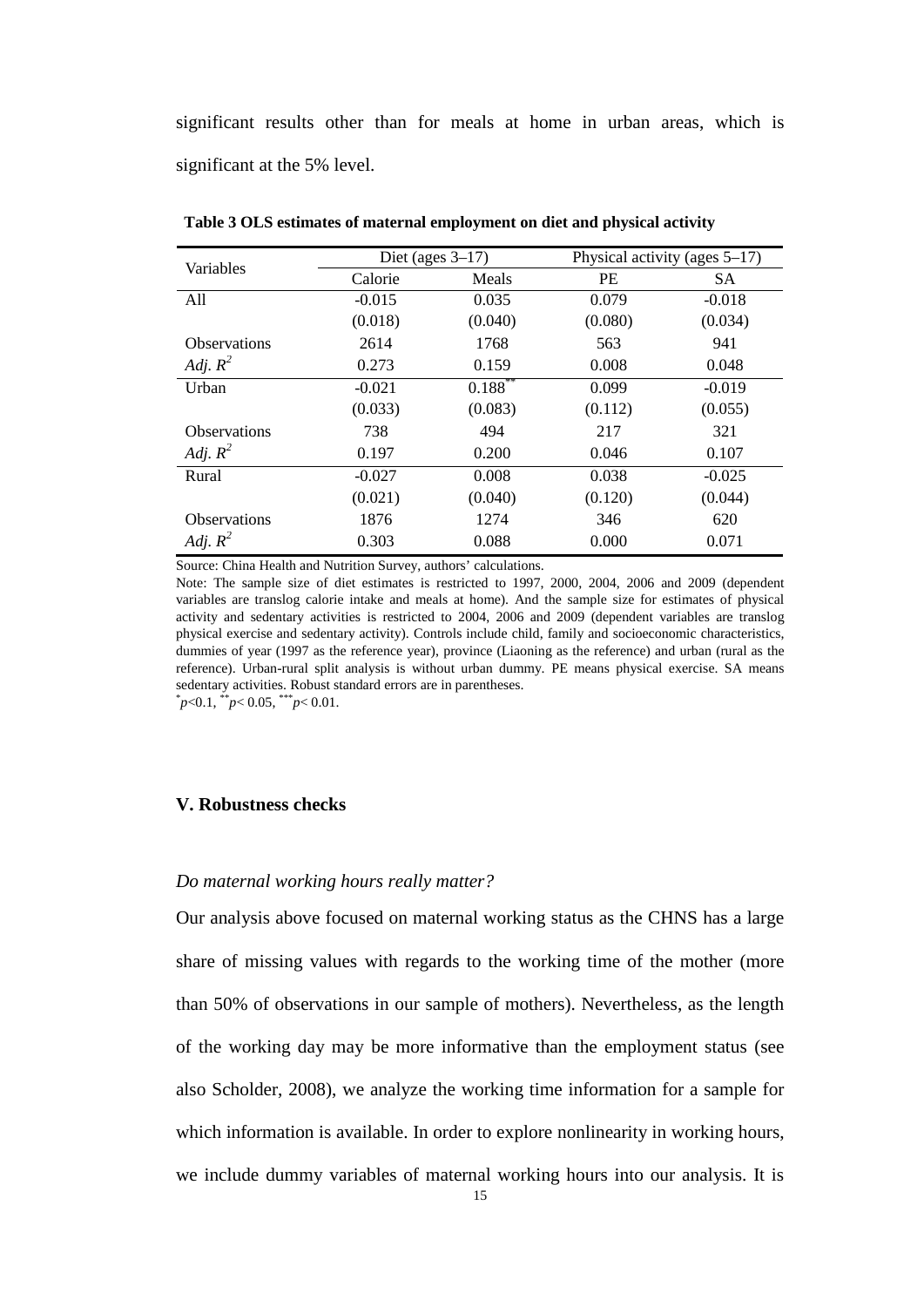significant results other than for meals at home in urban areas, which is significant at the 5% level.

| Variables           | Diet (ages $3-17$ ) |            |           | Physical activity (ages $5-17$ ) |  |  |
|---------------------|---------------------|------------|-----------|----------------------------------|--|--|
|                     | Calorie             | Meals      | <b>PE</b> | <b>SA</b>                        |  |  |
| All                 | $-0.015$            | 0.035      | 0.079     | $-0.018$                         |  |  |
|                     | (0.018)             | (0.040)    | (0.080)   | (0.034)                          |  |  |
| <b>Observations</b> | 2614                | 1768       | 563       | 941                              |  |  |
| Adj. $R^2$          | 0.273               | 0.159      | 0.008     | 0.048                            |  |  |
| Urban               | $-0.021$            | $0.188***$ | 0.099     | $-0.019$                         |  |  |
|                     | (0.033)             | (0.083)    | (0.112)   | (0.055)                          |  |  |
| <b>Observations</b> | 738                 | 494        | 217       | 321                              |  |  |
| Adj. $R^2$          | 0.197               | 0.200      | 0.046     | 0.107                            |  |  |
| Rural               | $-0.027$            | 0.008      | 0.038     | $-0.025$                         |  |  |
|                     | (0.021)             | (0.040)    | (0.120)   | (0.044)                          |  |  |
| <b>Observations</b> | 1876                | 1274       | 346       | 620                              |  |  |
| Adj. $R^2$          | 0.303               | 0.088      | 0.000     | 0.071                            |  |  |

**Table 3 OLS estimates of maternal employment on diet and physical activity**

Source: China Health and Nutrition Survey, authors' calculations.

Note: The sample size of diet estimates is restricted to 1997, 2000, 2004, 2006 and 2009 (dependent variables are translog calorie intake and meals at home). And the sample size for estimates of physical activity and sedentary activities is restricted to 2004, 2006 and 2009 (dependent variables are translog physical exercise and sedentary activity). Controls include child, family and socioeconomic characteristics, dummies of year (1997 as the reference year), province (Liaoning as the reference) and urban (rural as the reference). Urban-rural split analysis is without urban dummy. PE means physical exercise. SA means sedentary activities. Robust standard errors are in parentheses.

#### $p < 0.1$ ,  $p < 0.05$ ,  $p < 0.01$ .

#### **V. Robustness checks**

#### *Do maternal working hours really matter?*

Our analysis above focused on maternal working status as the CHNS has a large share of missing values with regards to the working time of the mother (more than 50% of observations in our sample of mothers). Nevertheless, as the length of the working day may be more informative than the employment status (see also Scholder, 2008), we analyze the working time information for a sample for which information is available. In order to explore nonlinearity in working hours, we include dummy variables of maternal working hours into our analysis. It is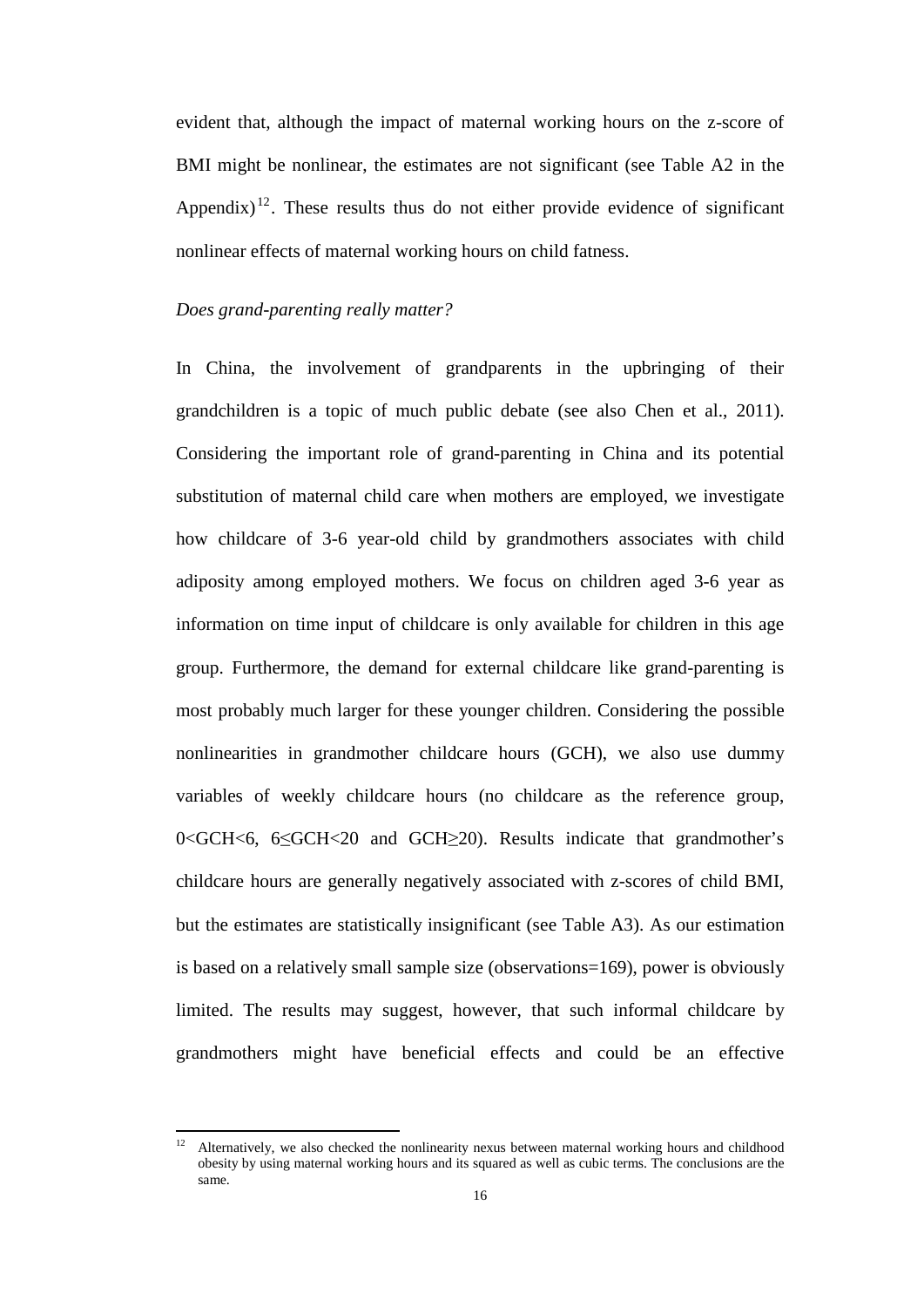evident that, although the impact of maternal working hours on the z-score of BMI might be nonlinear, the estimates are not significant (see Table A2 in the Appendix)<sup>[12](#page-16-0)</sup>. These results thus do not either provide evidence of significant nonlinear effects of maternal working hours on child fatness.

#### *Does grand-parenting really matter?*

In China, the involvement of grandparents in the upbringing of their grandchildren is a topic of much public debate (see also Chen et al., 2011). Considering the important role of grand-parenting in China and its potential substitution of maternal child care when mothers are employed, we investigate how childcare of 3-6 year-old child by grandmothers associates with child adiposity among employed mothers. We focus on children aged 3-6 year as information on time input of childcare is only available for children in this age group. Furthermore, the demand for external childcare like grand-parenting is most probably much larger for these younger children. Considering the possible nonlinearities in grandmother childcare hours (GCH), we also use dummy variables of weekly childcare hours (no childcare as the reference group, 0<GCH<6, 6≤GCH<20 and GCH≥20). Results indicate that grandmother's childcare hours are generally negatively associated with z-scores of child BMI, but the estimates are statistically insignificant (see Table A3). As our estimation is based on a relatively small sample size (observations=169), power is obviously limited. The results may suggest, however, that such informal childcare by grandmothers might have beneficial effects and could be an effective

<sup>12</sup> Alternatively, we also checked the nonlinearity nexus between maternal working hours and childhood obesity by using maternal working hours and its squared as well as cubic terms. The conclusions are the same.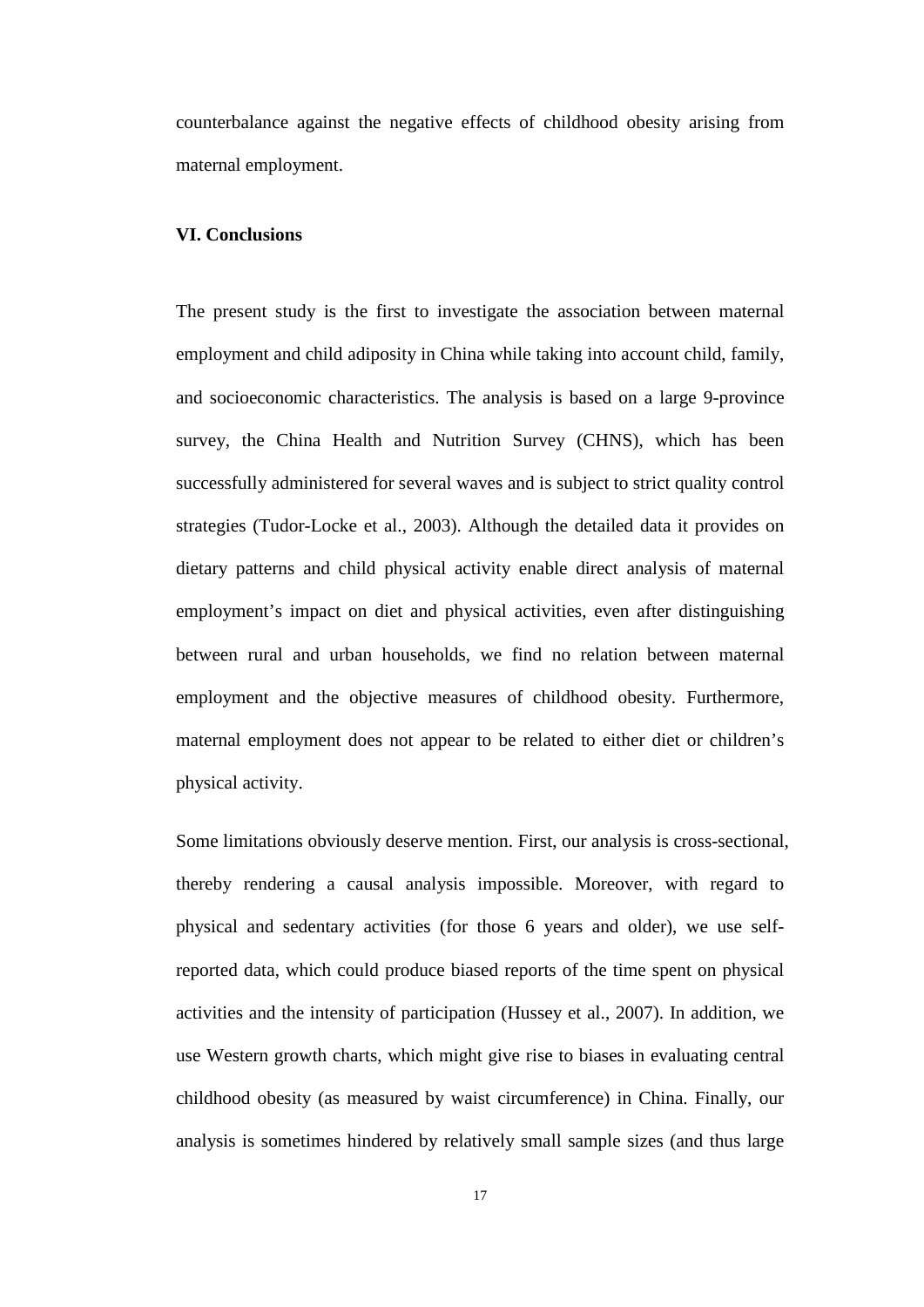counterbalance against the negative effects of childhood obesity arising from maternal employment.

#### **VI. Conclusions**

The present study is the first to investigate the association between maternal employment and child adiposity in China while taking into account child, family, and socioeconomic characteristics. The analysis is based on a large 9-province survey, the China Health and Nutrition Survey (CHNS), which has been successfully administered for several waves and is subject to strict quality control strategies (Tudor-Locke et al., 2003). Although the detailed data it provides on dietary patterns and child physical activity enable direct analysis of maternal employment's impact on diet and physical activities, even after distinguishing between rural and urban households, we find no relation between maternal employment and the objective measures of childhood obesity. Furthermore, maternal employment does not appear to be related to either diet or children's physical activity.

Some limitations obviously deserve mention. First, our analysis is cross-sectional, thereby rendering a causal analysis impossible. Moreover, with regard to physical and sedentary activities (for those 6 years and older), we use selfreported data, which could produce biased reports of the time spent on physical activities and the intensity of participation (Hussey et al., 2007). In addition, we use Western growth charts, which might give rise to biases in evaluating central childhood obesity (as measured by waist circumference) in China. Finally, our analysis is sometimes hindered by relatively small sample sizes (and thus large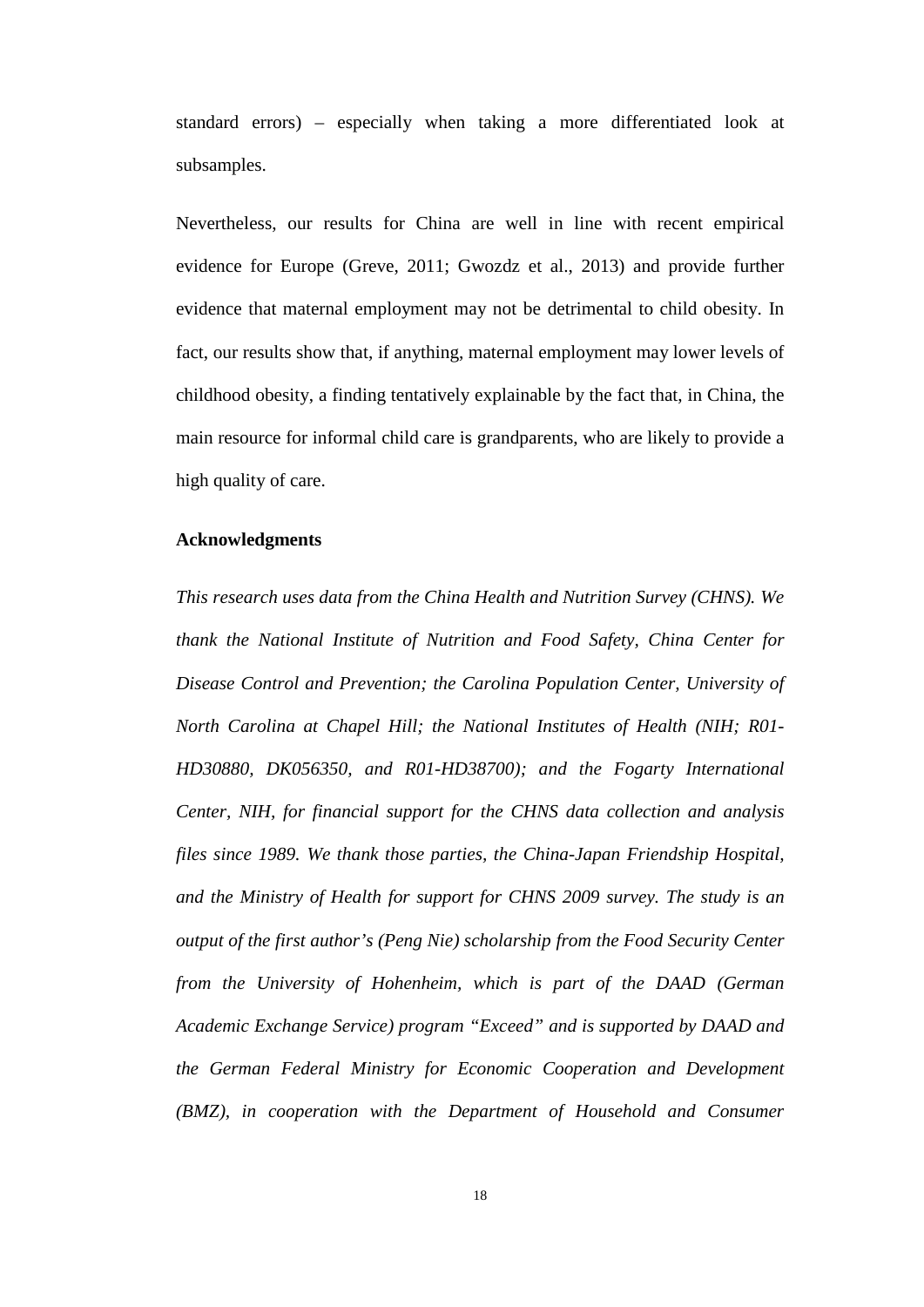standard errors) – especially when taking a more differentiated look at subsamples.

Nevertheless, our results for China are well in line with recent empirical evidence for Europe (Greve, 2011; Gwozdz et al., 2013) and provide further evidence that maternal employment may not be detrimental to child obesity. In fact, our results show that, if anything, maternal employment may lower levels of childhood obesity, a finding tentatively explainable by the fact that, in China, the main resource for informal child care is grandparents, who are likely to provide a high quality of care.

#### **Acknowledgments**

*This research uses data from the China Health and Nutrition Survey (CHNS). We thank the National Institute of Nutrition and Food Safety, China Center for Disease Control and Prevention; the Carolina Population Center, University of North Carolina at Chapel Hill; the National Institutes of Health (NIH; R01- HD30880, DK056350, and R01-HD38700); and the Fogarty International Center, NIH, for financial support for the CHNS data collection and analysis files since 1989. We thank those parties, the China-Japan Friendship Hospital, and the Ministry of Health for support for CHNS 2009 survey. The study is an output of the first author's (Peng Nie) scholarship from the Food Security Center from the University of Hohenheim, which is part of the DAAD (German Academic Exchange Service) program "Exceed" and is supported by DAAD and the German Federal Ministry for Economic Cooperation and Development (BMZ), in cooperation with the Department of Household and Consumer*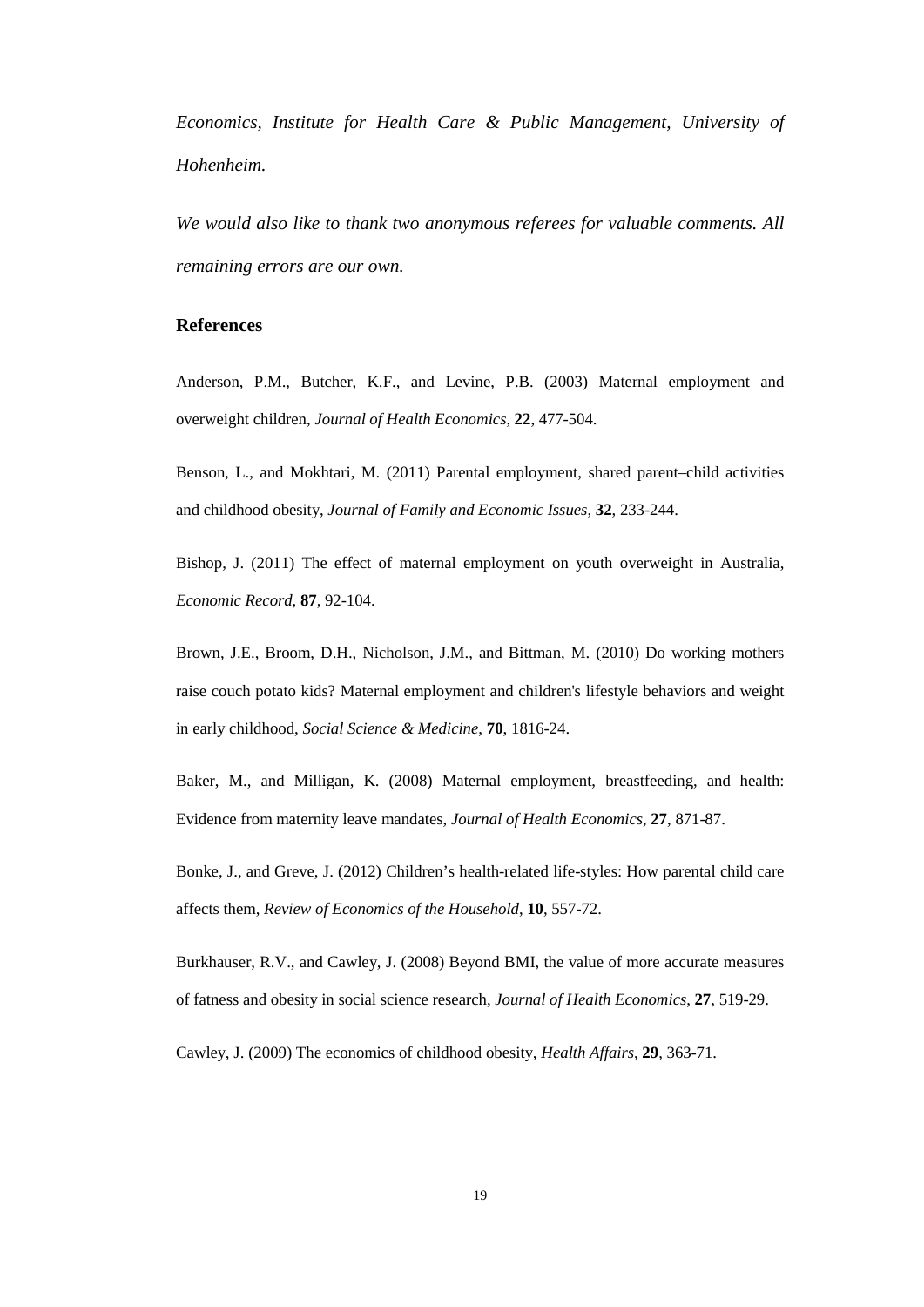*Economics, Institute for Health Care & Public Management, University of Hohenheim.*

*We would also like to thank two anonymous referees for valuable comments. All remaining errors are our own.* 

#### **References**

Anderson, P.M., Butcher, K.F., and Levine, P.B. (2003) Maternal employment and overweight children, *Journal of Health Economics*, **22**, 477-504.

Benson, L., and Mokhtari, M. (2011) Parental employment, shared parent–child activities and childhood obesity, *Journal of Family and Economic Issues*, **32**, 233-244.

Bishop, J. (2011) The effect of maternal employment on youth overweight in Australia, *Economic Record*, **87**, 92-104.

Brown, J.E., Broom, D.H., Nicholson, J.M., and Bittman, M. (2010) Do working mothers raise couch potato kids? Maternal employment and children's lifestyle behaviors and weight in early childhood, *Social Science & Medicine*, **70**, 1816-24.

Baker, M., and Milligan, K. (2008) Maternal employment, breastfeeding, and health: Evidence from maternity leave mandates, *Journal of Health Economics*, **27**, 871-87.

Bonke, J., and Greve, J. (2012) Children's health-related life-styles: How parental child care affects them, *Review of Economics of the Household*, **10**, 557-72.

Burkhauser, R.V., and Cawley, J. (2008) Beyond BMI, the value of more accurate measures of fatness and obesity in social science research, *Journal of Health Economics*, **27**, 519-29.

Cawley, J. (2009) The economics of childhood obesity, *Health Affairs*, **29**, 363-71.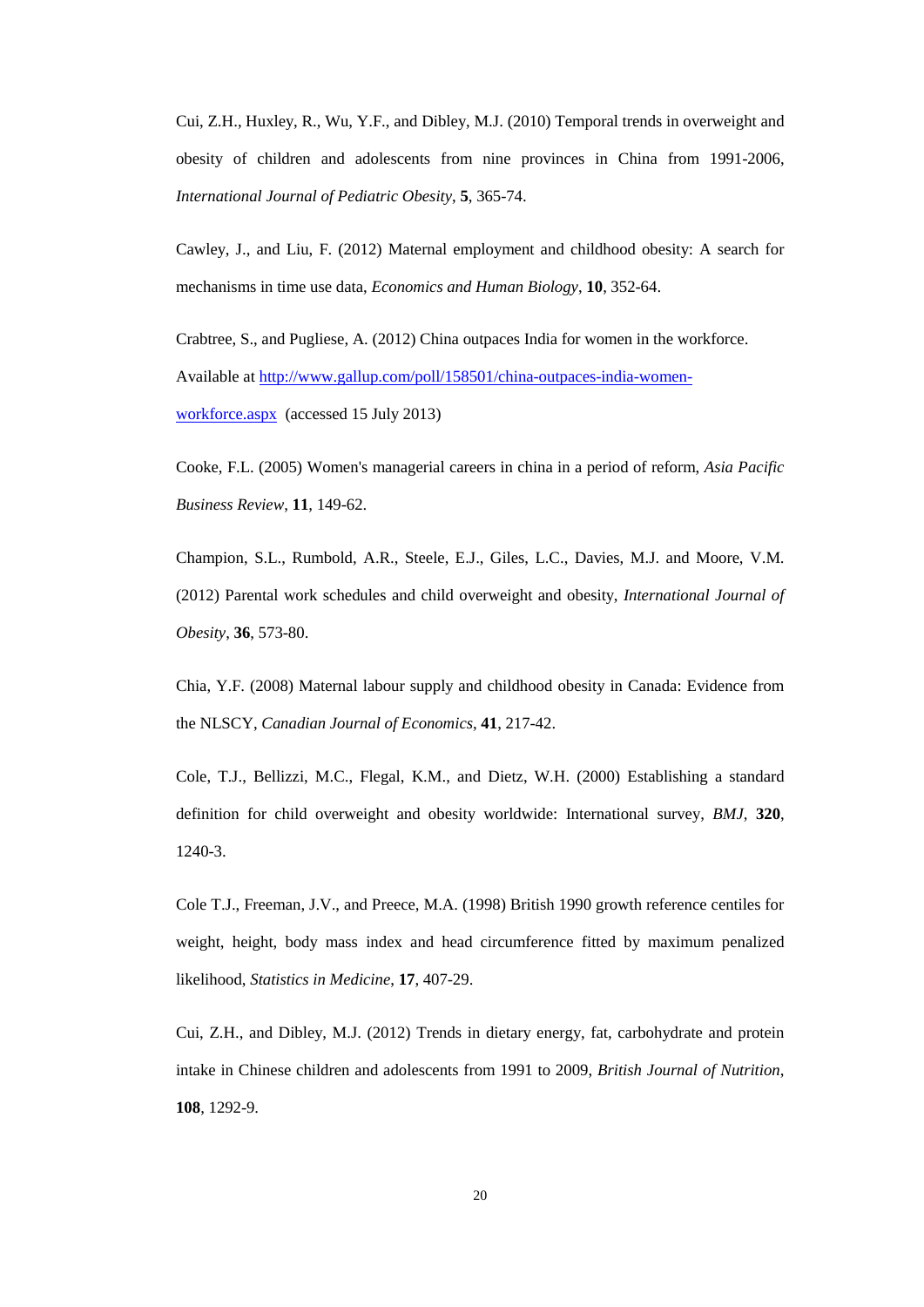Cui, Z.H., Huxley, R., Wu, Y.F., and Dibley, M.J. (2010) Temporal trends in overweight and obesity of children and adolescents from nine provinces in China from 1991-2006, *International Journal of Pediatric Obesity*, **5**, 365-74.

Cawley, J., and Liu, F. (2012) Maternal employment and childhood obesity: A search for mechanisms in time use data, *Economics and Human Biology*, **10**, 352-64.

Crabtree, S., and Pugliese, A. (2012) China outpaces India for women in the workforce. Available at [http://www.gallup.com/poll/158501/china-outpaces-india-women](http://www.gallup.com/poll/158501/china-outpaces-india-women-workforce.aspx)[workforce.aspx](http://www.gallup.com/poll/158501/china-outpaces-india-women-workforce.aspx) (accessed 15 July 2013)

Cooke, F.L. (2005) Women's managerial careers in china in a period of reform, *Asia Pacific Business Review*, **11**, 149-62.

Champion, S.L., Rumbold, A.R., Steele, E.J., Giles, L.C., Davies, M.J. and Moore, V.M. (2012) Parental work schedules and child overweight and obesity, *International Journal of Obesity*, **36**, 573-80.

Chia, Y.F. (2008) Maternal labour supply and childhood obesity in Canada: Evidence from the NLSCY, *Canadian Journal of Economics*, **41**, 217-42.

Cole, T.J., Bellizzi, M.C., Flegal, K.M., and Dietz, W.H. (2000) Establishing a standard definition for child overweight and obesity worldwide: International survey, *BMJ*, **320**, 1240-3.

Cole T.J., Freeman, J.V., and Preece, M.A. (1998) British 1990 growth reference centiles for weight, height, body mass index and head circumference fitted by maximum penalized likelihood, *Statistics in Medicine*, **17**, 407-29.

Cui, Z.H., and Dibley, M.J. (2012) Trends in dietary energy, fat, carbohydrate and protein intake in Chinese children and adolescents from 1991 to 2009, *British Journal of Nutrition*, **108**, 1292-9.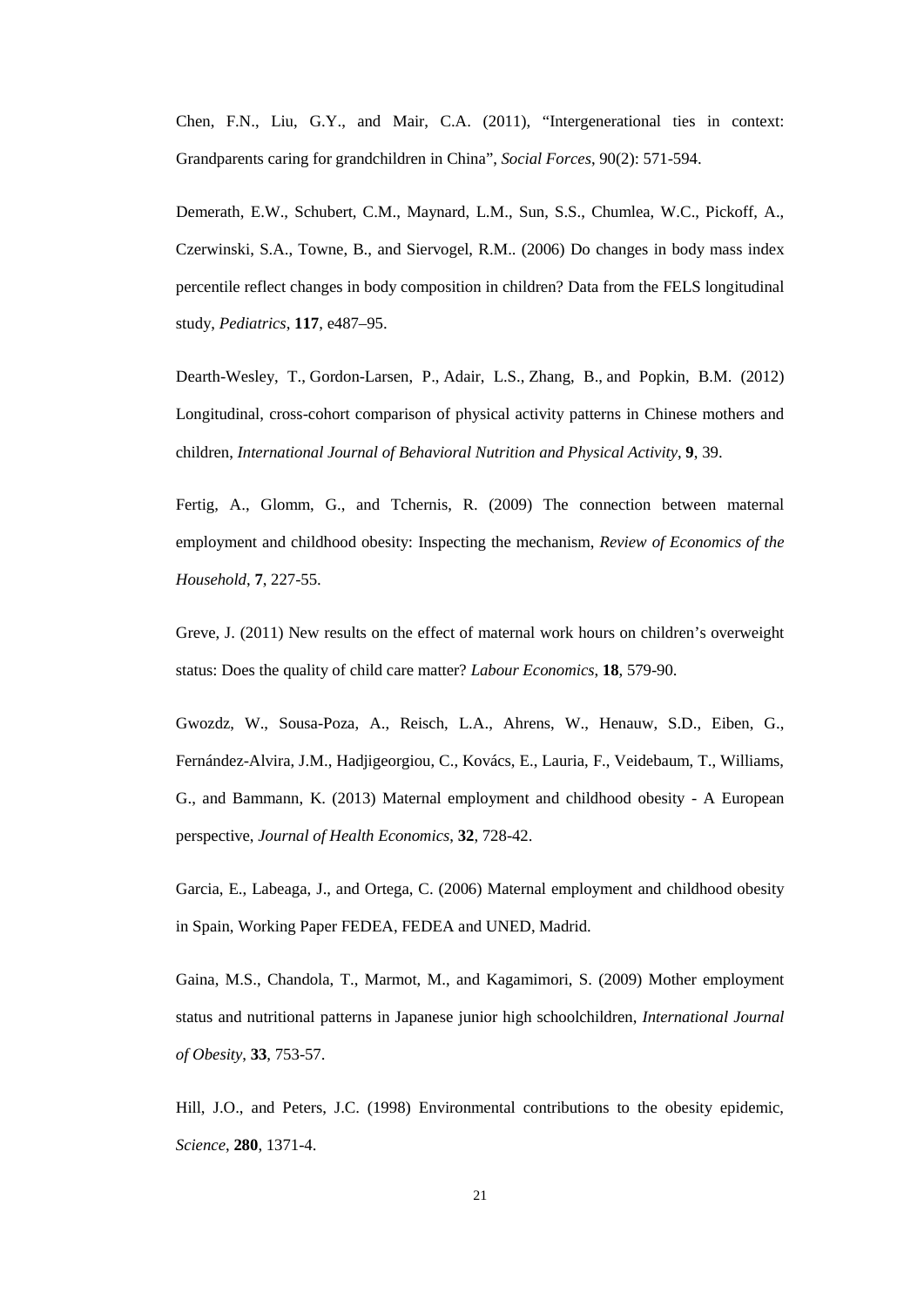Chen, F.N., Liu, G.Y., and Mair, C.A. (2011), "Intergenerational ties in context: Grandparents caring for grandchildren in China", *Social Forces*, 90(2): 571-594.

Demerath, E.W., Schubert, C.M., Maynard, L.M., Sun, S.S., Chumlea, W.C., Pickoff, A., Czerwinski, S.A., Towne, B., and Siervogel, R.M.. (2006) Do changes in body mass index percentile reflect changes in body composition in children? Data from the FELS longitudinal study, *Pediatrics*, **117**, e487–95.

Dearth-Wesley, T., Gordon-Larsen, P., Adair, L.S., Zhang, B., and Popkin, B.M. (2012) Longitudinal, cross-cohort comparison of physical activity patterns in Chinese mothers and children, *International Journal of Behavioral Nutrition and Physical Activity*, **9**, 39.

Fertig, A., Glomm, G., and Tchernis, R. (2009) The connection between maternal employment and childhood obesity: Inspecting the mechanism, *Review of Economics of the Household*, **7**, 227-55.

Greve, J. (2011) New results on the effect of maternal work hours on children's overweight status: Does the quality of child care matter? *Labour Economics*, **18**, 579-90.

Gwozdz, W., Sousa-Poza, A., Reisch, L.A., Ahrens, W., Henauw, S.D., Eiben, G., Fernández-Alvira, J.M., Hadjigeorgiou, C., Kovács, E., Lauria, F., Veidebaum, T., Williams, G., and Bammann, K. (2013) Maternal employment and childhood obesity - A European perspective, *Journal of Health Economics*, **32**, 728-42.

Garcia, E., Labeaga, J., and Ortega, C. (2006) Maternal employment and childhood obesity in Spain, Working Paper FEDEA, FEDEA and UNED, Madrid.

Gaina, M.S., Chandola, T., Marmot, M., and Kagamimori, S. (2009) Mother employment status and nutritional patterns in Japanese junior high schoolchildren, *International Journal of Obesity*, **33**, 753-57.

Hill, J.O., and Peters, J.C. (1998) Environmental contributions to the obesity epidemic, *Science*, **280**, 1371-4.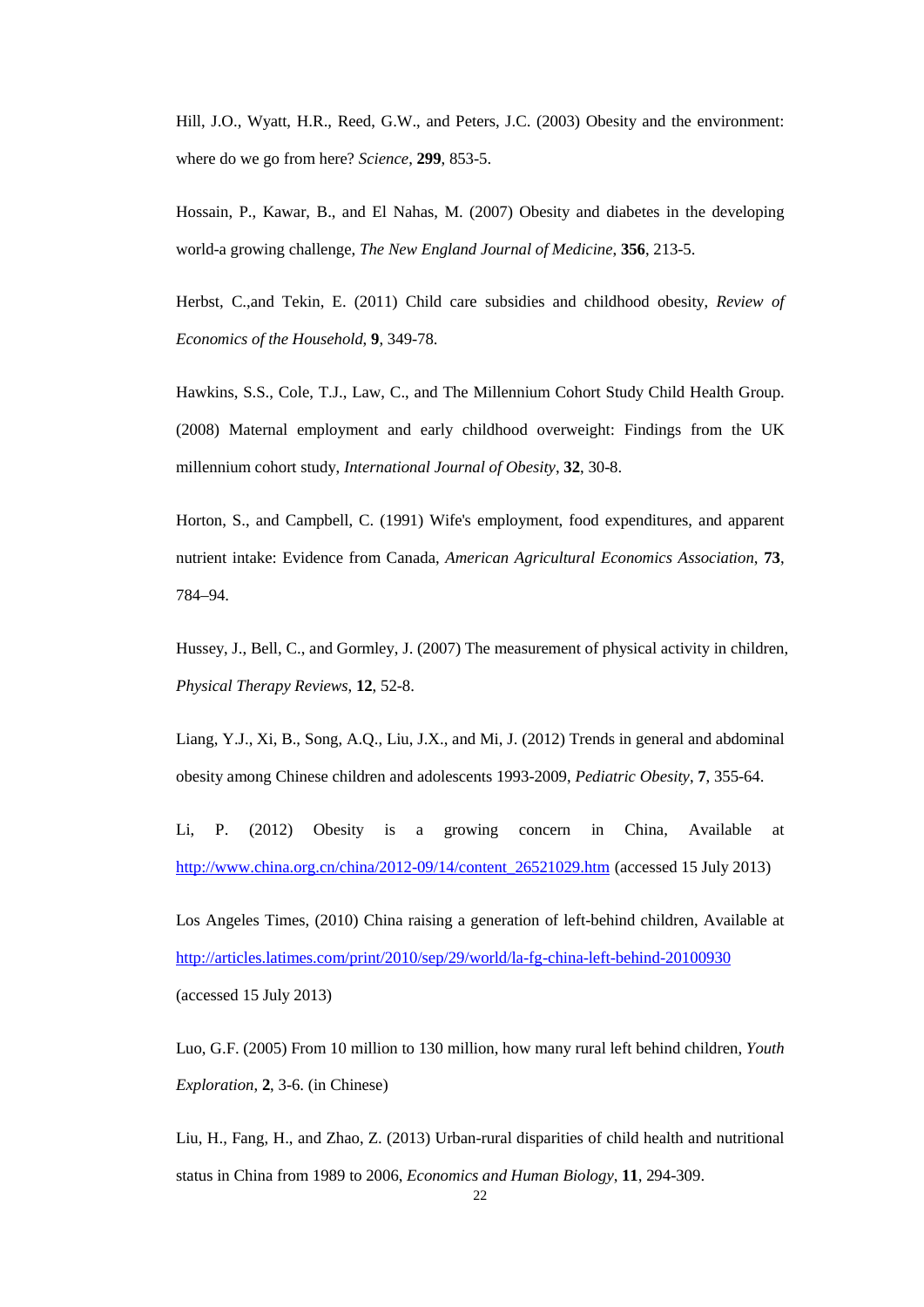Hill, J.O., Wyatt, H.R., Reed, G.W., and Peters, J.C. (2003) Obesity and the environment: where do we go from here? *Science*, **299**, 853-5.

Hossain, P., Kawar, B., and El Nahas, M. (2007) Obesity and diabetes in the developing world-a growing challenge, *The New England Journal of Medicine*, **356**, 213-5.

Herbst, C.,and Tekin, E. (2011) Child care subsidies and childhood obesity, *Review of Economics of the Household*, **9**, 349-78.

Hawkins, S.S., Cole, T.J., Law, C., and The Millennium Cohort Study Child Health Group. (2008) Maternal employment and early childhood overweight: Findings from the UK millennium cohort study, *International Journal of Obesity*, **32**, 30-8.

Horton, S., and Campbell, C. (1991) Wife's employment, food expenditures, and apparent nutrient intake: Evidence from Canada, *American Agricultural Economics Association*, **73**, 784–94.

Hussey, J., Bell, C., and Gormley, J. (2007) The measurement of physical activity in children, *Physical Therapy Reviews*, **12**, 52-8.

Liang, Y.J., Xi, B., Song, A.Q., Liu, J.X., and Mi, J. (2012) Trends in general and abdominal obesity among Chinese children and adolescents 1993-2009, *Pediatric Obesity*, **7**, 355-64.

Li, P. (2012) Obesity is a growing concern in China, Available at [http://www.china.org.cn/china/2012-09/14/content\\_26521029.htm](http://www.china.org.cn/china/2012-09/14/content_26521029.htm) (accessed 15 July 2013)

Los Angeles Times, (2010) China raising a generation of left-behind children, Available at <http://articles.latimes.com/print/2010/sep/29/world/la-fg-china-left-behind-20100930> (accessed 15 July 2013)

Luo, G.F. (2005) From 10 million to 130 million, how many rural left behind children, *Youth Exploration*, **2**, 3-6. (in Chinese)

Liu, H., Fang, H., and Zhao, Z. (2013) Urban-rural disparities of child health and nutritional status in China from 1989 to 2006, *Economics and Human Biology*, **11**, 294-309.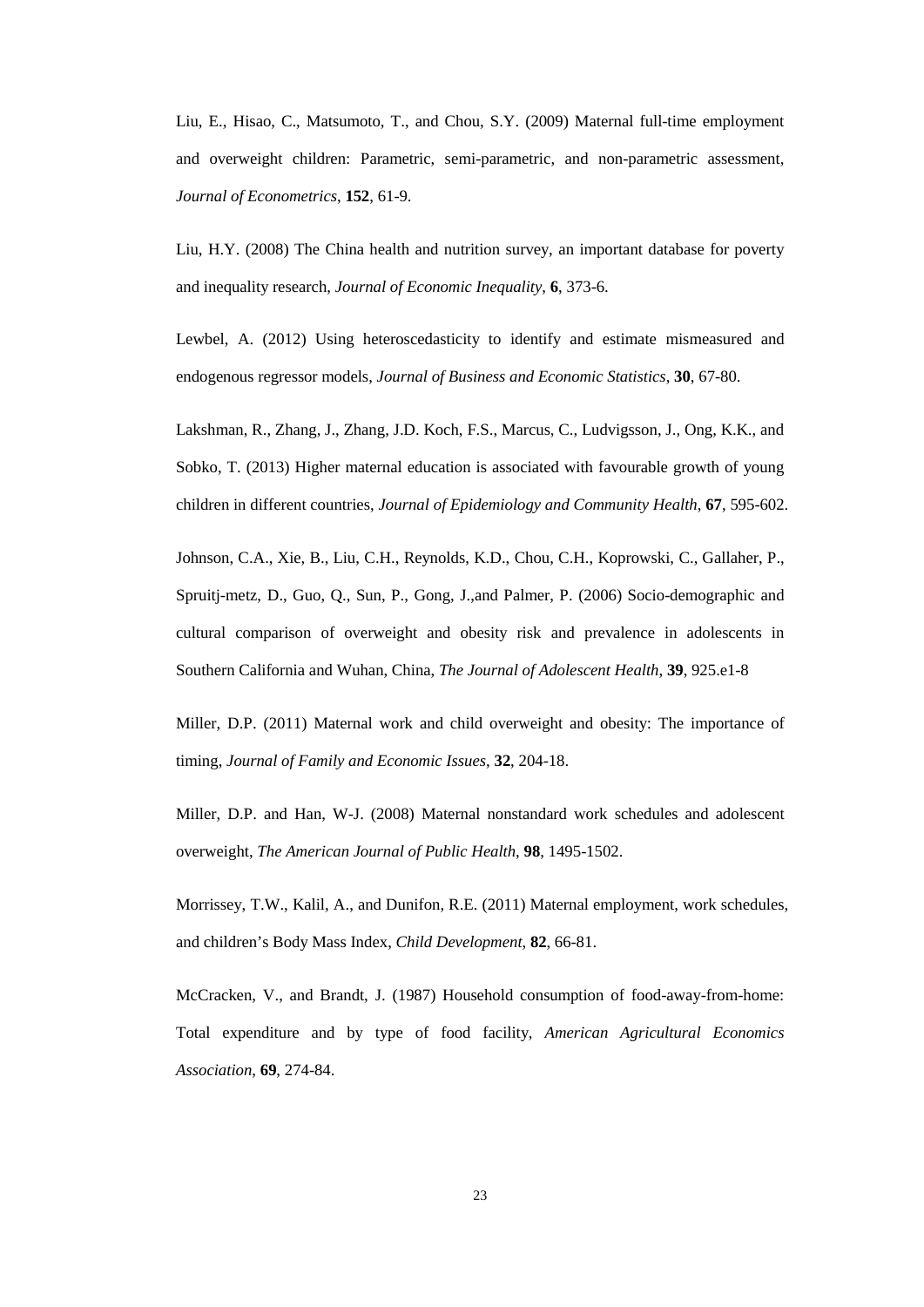Liu, E., Hisao, C., Matsumoto, T., and Chou, S.Y. (2009) Maternal full-time employment and overweight children: Parametric, semi-parametric, and non-parametric assessment, *Journal of Econometrics*, **152**, 61-9.

Liu, H.Y. (2008) The China health and nutrition survey, an important database for poverty and inequality research, *Journal of Economic Inequality*, **6**, 373-6.

Lewbel, A. (2012) Using heteroscedasticity to identify and estimate mismeasured and endogenous regressor models, *Journal of Business and Economic Statistics*, **30**, 67-80.

Lakshman, R., Zhang, J., Zhang, J.D. Koch, F.S., Marcus, C., Ludvigsson, J., Ong, K.K., and Sobko, T. (2013) Higher maternal education is associated with favourable growth of young children in different countries, *Journal of Epidemiology and Community Health*, **67**, 595-602.

Johnson, C.A., Xie, B., Liu, C.H., Reynolds, K.D., Chou, C.H., Koprowski, C., Gallaher, P., Spruitj-metz, D., Guo, Q., Sun, P., Gong, J.,and Palmer, P. (2006) Socio-demographic and cultural comparison of overweight and obesity risk and prevalence in adolescents in Southern California and Wuhan, China, *The Journal of Adolescent Health*, **39**, 925.e1-8

Miller, D.P. (2011) Maternal work and child overweight and obesity: The importance of timing, *Journal of Family and Economic Issues*, **32**, 204-18.

Miller, D.P. and Han, W-J. (2008) Maternal nonstandard work schedules and adolescent overweight, *The American Journal of Public Health*, **98**, 1495-1502.

Morrissey, T.W., Kalil, A., and Dunifon, R.E. (2011) Maternal employment, work schedules, and children's Body Mass Index, *Child Development*, **82**, 66-81.

McCracken, V., and Brandt, J. (1987) Household consumption of food-away-from-home: Total expenditure and by type of food facility, *American Agricultural Economics Association*, **69**, 274-84.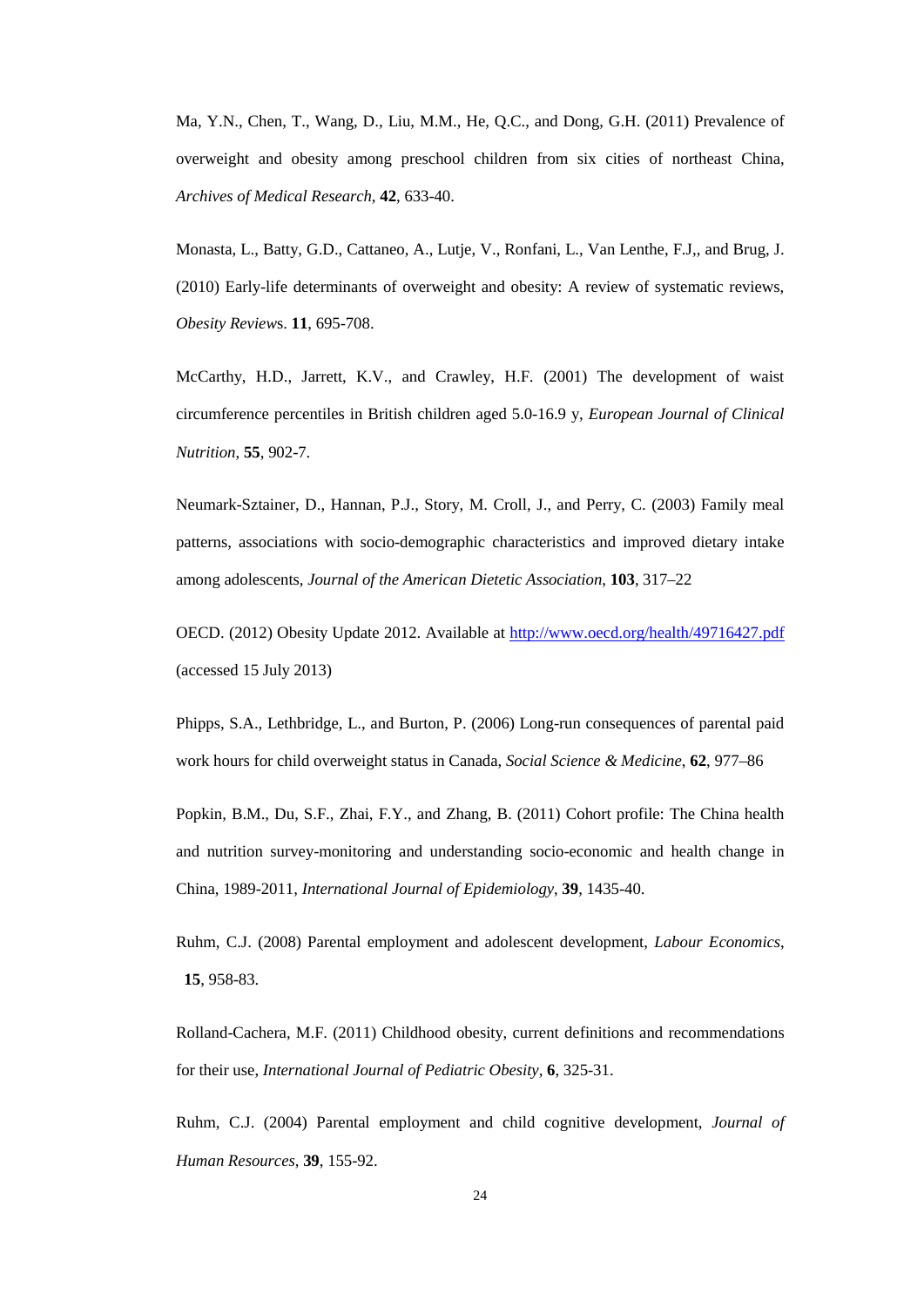Ma, Y.N., Chen, T., Wang, D., Liu, M.M., He, Q.C., and Dong, G.H. (2011) Prevalence of overweight and obesity among preschool children from six cities of northeast China, *Archives of Medical Research*, **42**, 633-40.

Monasta, L., Batty, G.D., Cattaneo, A., Lutje, V., Ronfani, L., Van Lenthe, F.J,, and Brug, J. (2010) Early-life determinants of overweight and obesity: A review of systematic reviews, *Obesity Review*s. **11**, 695-708.

McCarthy, H.D., Jarrett, K.V., and Crawley, H.F. (2001) The development of waist circumference percentiles in British children aged 5.0-16.9 y, *European Journal of Clinical Nutrition*, **55**, 902-7.

Neumark-Sztainer, D., Hannan, P.J., Story, M. Croll, J., and Perry, C. (2003) Family meal patterns, associations with socio-demographic characteristics and improved dietary intake among adolescents, *Journal of the American Dietetic Association*, **103**, 317–22

OECD. (2012) Obesity Update 2012. Available at<http://www.oecd.org/health/49716427.pdf> (accessed 15 July 2013)

Phipps, S.A., Lethbridge, L., and Burton, P. (2006) Long-run consequences of parental paid work hours for child overweight status in Canada, *Social Science & Medicine*, **62**, 977–86

Popkin, B.M., Du, S.F., Zhai, F.Y., and Zhang, B. (2011) Cohort profile: The China health and nutrition survey-monitoring and understanding socio-economic and health change in China, 1989-2011, *International Journal of Epidemiology*, **39**, 1435-40.

Ruhm, C.J. (2008) Parental employment and adolescent development, *Labour Economics*, **15**, 958-83.

Rolland-Cachera, M.F. (2011) Childhood obesity, current definitions and recommendations for their use, *International Journal of Pediatric Obesity*, **6**, 325-31.

Ruhm, C.J. (2004) Parental employment and child cognitive development, *Journal of Human Resources*, **39**, 155-92.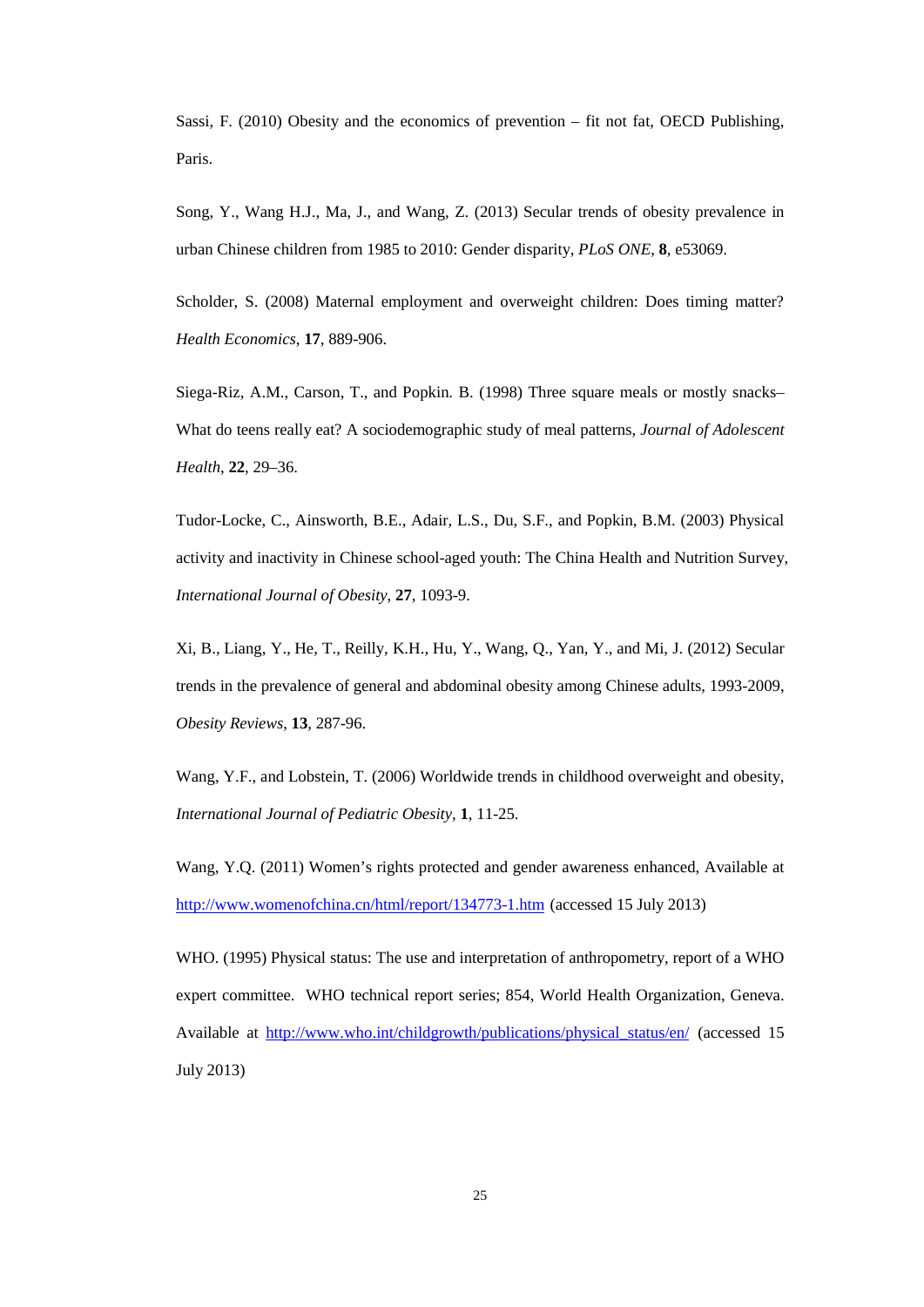Sassi, F. (2010) Obesity and the economics of prevention – fit not fat, OECD Publishing, Paris.

Song, Y., Wang H.J., Ma, J., and Wang, Z. (2013) Secular trends of obesity prevalence in urban Chinese children from 1985 to 2010: Gender disparity, *PLoS ONE*, **8**, e53069.

Scholder, S. (2008) Maternal employment and overweight children: Does timing matter? *Health Economics*, **17**, 889-906.

Siega-Riz, A.M., Carson, T., and Popkin. B. (1998) Three square meals or mostly snacks– What do teens really eat? A sociodemographic study of meal patterns, *Journal of Adolescent Health*, **22**, 29–36.

Tudor-Locke, C., Ainsworth, B.E., Adair, L.S., Du, S.F., and Popkin, B.M. (2003) Physical activity and inactivity in Chinese school-aged youth: The China Health and Nutrition Survey, *International Journal of Obesity*, **27**, 1093-9.

Xi, B., Liang, Y., He, T., Reilly, K.H., Hu, Y., Wang, Q., Yan, Y., and Mi, J. (2012) Secular trends in the prevalence of general and abdominal obesity among Chinese adults, 1993-2009, *Obesity Reviews*, **13**, 287-96.

Wang, Y.F., and Lobstein, T. (2006) Worldwide trends in childhood overweight and obesity, *International Journal of Pediatric Obesity*, **1**, 11-25.

Wang, Y.Q. (2011) Women's rights protected and gender awareness enhanced, Available at <http://www.womenofchina.cn/html/report/134773-1.htm> (accessed 15 July 2013)

WHO. (1995) Physical status: The use and interpretation of anthropometry, report of a WHO expert committee. WHO technical report series; 854, World Health Organization, Geneva. Available at [http://www.who.int/childgrowth/publications/physical\\_status/en/](http://www.who.int/childgrowth/publications/physical_status/en/) (accessed 15 July 2013)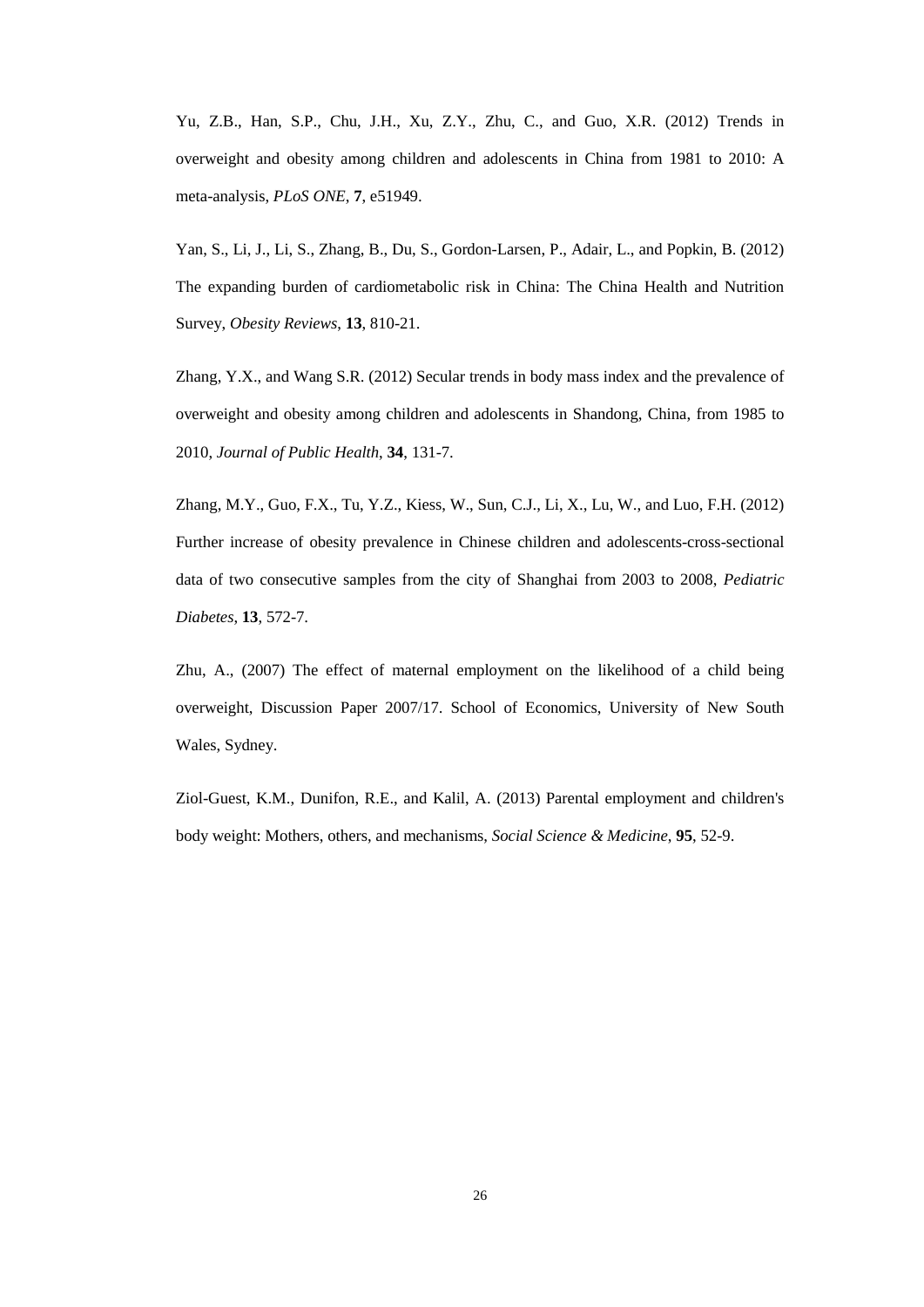Yu, Z.B., Han, S.P., Chu, J.H., Xu, Z.Y., Zhu, C., and Guo, X.R. (2012) Trends in overweight and obesity among children and adolescents in China from 1981 to 2010: A meta-analysis, *PLoS ONE*, **7**, e51949.

Yan, S., Li, J., Li, S., Zhang, B., Du, S., Gordon-Larsen, P., Adair, L., and Popkin, B. (2012) The expanding burden of cardiometabolic risk in China: The China Health and Nutrition Survey, *Obesity Reviews*, **13**, 810-21.

Zhang, Y.X., and Wang S.R. (2012) Secular trends in body mass index and the prevalence of overweight and obesity among children and adolescents in Shandong, China, from 1985 to 2010, *Journal of Public Health*, **34**, 131-7.

Zhang, M.Y., Guo, F.X., Tu, Y.Z., Kiess, W., Sun, C.J., Li, X., Lu, W., and Luo, F.H. (2012) Further increase of obesity prevalence in Chinese children and adolescents-cross-sectional data of two consecutive samples from the city of Shanghai from 2003 to 2008, *Pediatric Diabetes*, **13**, 572-7.

Zhu, A., (2007) The effect of maternal employment on the likelihood of a child being overweight, Discussion Paper 2007/17. School of Economics, University of New South Wales, Sydney.

Ziol-Guest, K.M., Dunifon, R.E., and Kalil, A. (2013) Parental employment and children's body weight: Mothers, others, and mechanisms, *Social Science & Medicine*, **95**, 52-9.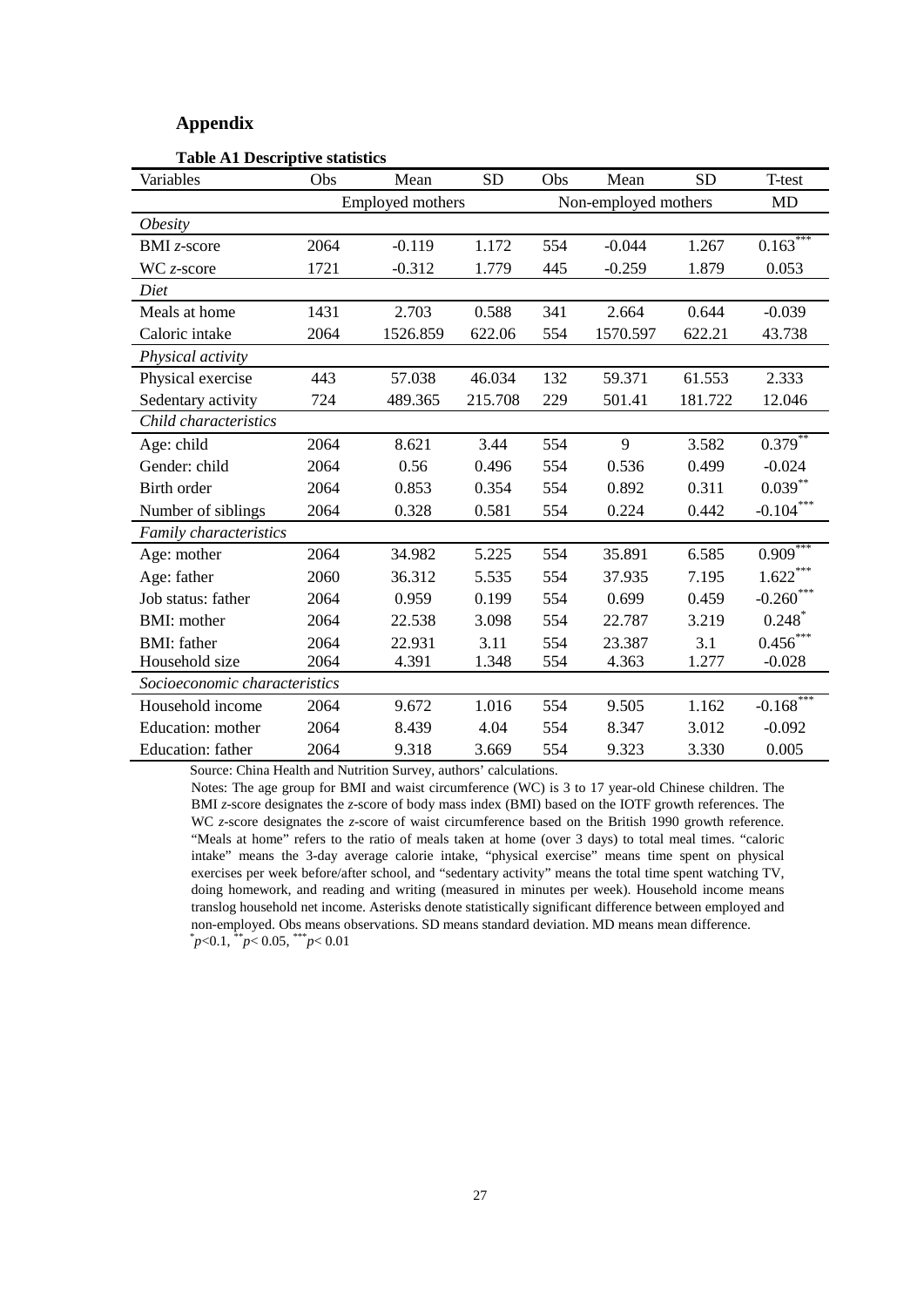#### **Appendix**

| Variables                     | Obs              | Mean     | <b>SD</b>            | Obs | Mean     | <b>SD</b> | T-test                |
|-------------------------------|------------------|----------|----------------------|-----|----------|-----------|-----------------------|
|                               | Employed mothers |          | Non-employed mothers |     |          | <b>MD</b> |                       |
| <i><b>Obesity</b></i>         |                  |          |                      |     |          |           |                       |
| <b>BMI</b> $z$ -score         | 2064             | $-0.119$ | 1.172                | 554 | $-0.044$ | 1.267     | $0.163***$            |
| $WC$ z-score                  | 1721             | $-0.312$ | 1.779                | 445 | $-0.259$ | 1.879     | 0.053                 |
| Diet                          |                  |          |                      |     |          |           |                       |
| Meals at home                 | 1431             | 2.703    | 0.588                | 341 | 2.664    | 0.644     | $-0.039$              |
| Caloric intake                | 2064             | 1526.859 | 622.06               | 554 | 1570.597 | 622.21    | 43.738                |
| Physical activity             |                  |          |                      |     |          |           |                       |
| Physical exercise             | 443              | 57.038   | 46.034               | 132 | 59.371   | 61.553    | 2.333                 |
| Sedentary activity            | 724              | 489.365  | 215.708              | 229 | 501.41   | 181.722   | 12.046                |
| Child characteristics         |                  |          |                      |     |          |           |                       |
| Age: child                    | 2064             | 8.621    | 3.44                 | 554 | 9        | 3.582     | $0.379$ **            |
| Gender: child                 | 2064             | 0.56     | 0.496                | 554 | 0.536    | 0.499     | $-0.024$              |
| Birth order                   | 2064             | 0.853    | 0.354                | 554 | 0.892    | 0.311     | $0.039**$             |
| Number of siblings            | 2064             | 0.328    | 0.581                | 554 | 0.224    | 0.442     | $-0.104***$           |
| Family characteristics        |                  |          |                      |     |          |           |                       |
| Age: mother                   | 2064             | 34.982   | 5.225                | 554 | 35.891   | 6.585     | $0.909$ <sup>**</sup> |
| Age: father                   | 2060             | 36.312   | 5.535                | 554 | 37.935   | 7.195     | $1.622***$            |
| Job status: father            | 2064             | 0.959    | 0.199                | 554 | 0.699    | 0.459     | $-0.260***$           |
| <b>BMI:</b> mother            | 2064             | 22.538   | 3.098                | 554 | 22.787   | 3.219     | 0.248                 |
| <b>BMI:</b> father            | 2064             | 22.931   | 3.11                 | 554 | 23.387   | 3.1       | $0.456$ ***           |
| Household size                | 2064             | 4.391    | 1.348                | 554 | 4.363    | 1.277     | $-0.028$              |
| Socioeconomic characteristics |                  |          |                      |     |          |           |                       |
| Household income              | 2064             | 9.672    | 1.016                | 554 | 9.505    | 1.162     | $-0.168$ ***          |
| Education: mother             | 2064             | 8.439    | 4.04                 | 554 | 8.347    | 3.012     | $-0.092$              |
| Education: father             | 2064             | 9.318    | 3.669                | 554 | 9.323    | 3.330     | 0.005                 |

#### **Table A1 Descriptive statistics**

Source: China Health and Nutrition Survey, authors' calculations.

Notes: The age group for BMI and waist circumference (WC) is 3 to 17 year-old Chinese children. The BMI *z*-score designates the *z*-score of body mass index (BMI) based on the IOTF growth references. The WC *z*-score designates the *z-*score of waist circumference based on the British 1990 growth reference. "Meals at home" refers to the ratio of meals taken at home (over 3 days) to total meal times. "caloric intake" means the 3-day average calorie intake, "physical exercise" means time spent on physical exercises per week before/after school, and "sedentary activity" means the total time spent watching TV, doing homework, and reading and writing (measured in minutes per week). Household income means translog household net income. Asterisks denote statistically significant difference between employed and non-employed. Obs means observations. SD means standard deviation. MD means mean difference. \* *p*<0.1, \*\**p*< 0.05, \*\*\**p*< 0.01